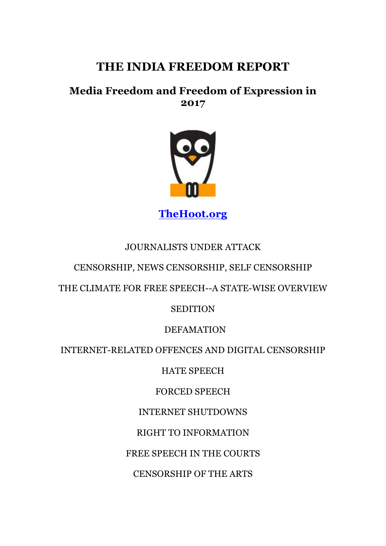# **THE INDIA FREEDOM REPORT**

## **Media Freedom and Freedom of Expression in 2017**



**TheHoot.org**

### JOURNALISTS UNDER ATTACK

#### CENSORSHIP, NEWS CENSORSHIP, SELF CENSORSHIP

THE CLIMATE FOR FREE SPEECH--A STATE-WISE OVERVIEW

#### **SEDITION**

#### DEFAMATION

#### INTERNET-RELATED OFFENCES AND DIGITAL CENSORSHIP

HATE SPEECH

FORCED SPEECH

INTERNET SHUTDOWNS

RIGHT TO INFORMATION

FREE SPEECH IN THE COURTS

CENSORSHIP OF THE ARTS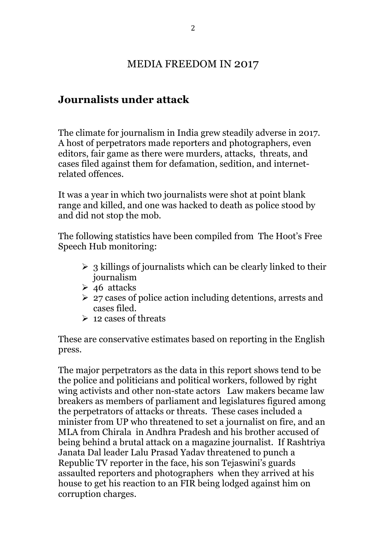### MEDIA FREEDOM IN 2017

### **Journalists under attack**

The climate for journalism in India grew steadily adverse in 2017. A host of perpetrators made reporters and photographers, even editors, fair game as there were murders, attacks, threats, and cases filed against them for defamation, sedition, and internetrelated offences.

It was a year in which two journalists were shot at point blank range and killed, and one was hacked to death as police stood by and did not stop the mob.

The following statistics have been compiled from The Hoot's Free Speech Hub monitoring:

- $\geq$  3 killings of journalists which can be clearly linked to their journalism
- $\geq 46$  attacks
- $\geq 27$  cases of police action including detentions, arrests and cases filed.
- $\geq 12$  cases of threats

These are conservative estimates based on reporting in the English press.

The major perpetrators as the data in this report shows tend to be the police and politicians and political workers, followed by right wing activists and other non-state actors Law makers became law breakers as members of parliament and legislatures figured among the perpetrators of attacks or threats. These cases included a minister from UP who threatened to set a journalist on fire, and an MLA from Chirala in Andhra Pradesh and his brother accused of being behind a brutal attack on a magazine journalist. If Rashtriya Janata Dal leader Lalu Prasad Yadav threatened to punch a Republic TV reporter in the face, his son Tejaswini's guards assaulted reporters and photographers when they arrived at his house to get his reaction to an FIR being lodged against him on corruption charges.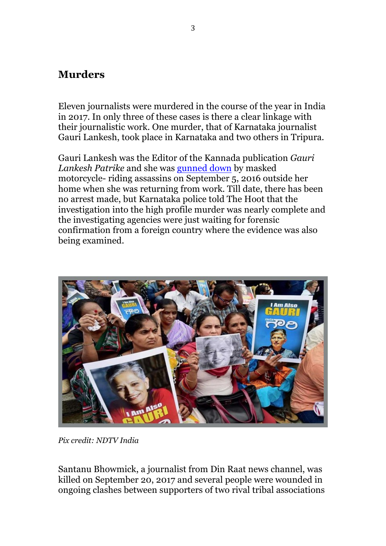### **Murders**

Eleven journalists were murdered in the course of the year in India in 2017. In only three of these cases is there a clear linkage with their journalistic work. One murder, that of Karnataka journalist Gauri Lankesh, took place in Karnataka and two others in Tripura.

Gauri Lankesh was the Editor of the Kannada publication *Gauri Lankesh Patrike* and she was gunned down by masked motorcycle- riding assassins on September 5, 2016 outside her home when she was returning from work. Till date, there has been no arrest made, but Karnataka police told The Hoot that the investigation into the high profile murder was nearly complete and the investigating agencies were just waiting for forensic confirmation from a foreign country where the evidence was also being examined.



*Pix credit: NDTV India*

Santanu Bhowmick, a journalist from Din Raat news channel, was killed on September 20, 2017 and several people were wounded in ongoing clashes between supporters of two rival tribal associations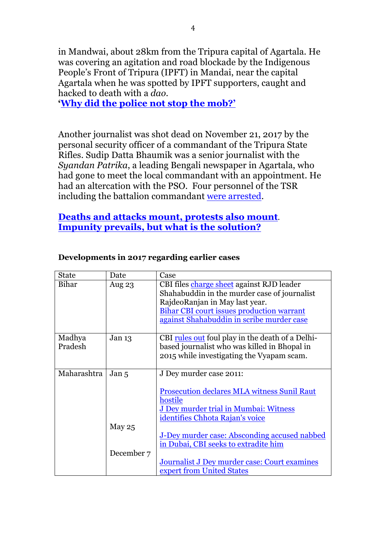in Mandwai, about 28km from the Tripura capital of Agartala. He was covering an agitation and road blockade by the Indigenous People's Front of Tripura (IPFT) in Mandai, near the capital Agartala when he was spotted by IPFT supporters, caught and hacked to death with a *dao*.

**'Why did the police not stop the mob?'**

Another journalist was shot dead on November 21, 2017 by the personal security officer of a commandant of the Tripura State Rifles. Sudip Datta Bhaumik was a senior journalist with the *Syandan Patrika*, a leading Bengali newspaper in Agartala, who had gone to meet the local commandant with an appointment. He had an altercation with the PSO. Four personnel of the TSR including the battalion commandant were arrested.

#### **Deaths and attacks mount, protests also mount**. **Impunity prevails, but what is the solution?**

| <b>State</b> | Date              | Case                                                    |
|--------------|-------------------|---------------------------------------------------------|
| Bihar        | Aug 23            | CBI files charge sheet against RJD leader               |
|              |                   | Shahabuddin in the murder case of journalist            |
|              |                   | RajdeoRanjan in May last year.                          |
|              |                   | <b>Bihar CBI court issues production warrant</b>        |
|              |                   | against Shahabuddin in scribe murder case               |
| Madhya       | Jan <sub>13</sub> | CBI <u>rules out</u> foul play in the death of a Delhi- |
| Pradesh      |                   | based journalist who was killed in Bhopal in            |
|              |                   | 2015 while investigating the Vyapam scam.               |
|              |                   |                                                         |
| Maharashtra  | Jan <sub>5</sub>  | J Dey murder case 2011:                                 |
|              |                   |                                                         |
|              |                   | <b>Prosecution declares MLA witness Sunil Raut</b>      |
|              |                   | hostile<br>J Dey murder trial in Mumbai: Witness        |
|              |                   | identifies Chhota Rajan's voice                         |
|              | May $25$          |                                                         |
|              |                   | J-Dey murder case: Absconding accused nabbed            |
|              |                   | in Dubai, CBI seeks to extradite him                    |
|              | December 7        |                                                         |
|              |                   | Journalist J Dey murder case: Court examines            |
|              |                   | expert from United States                               |

#### **Developments in 2017 regarding earlier cases**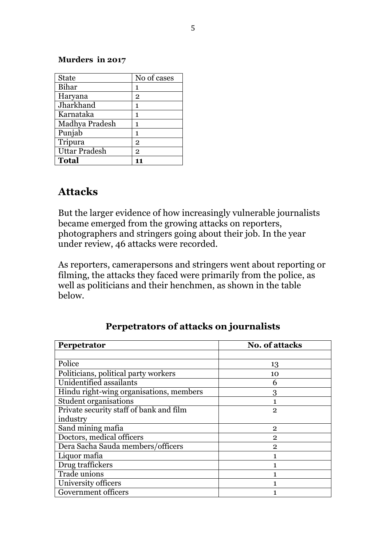#### **Murders in 2017**

| <b>State</b>         | No of cases    |
|----------------------|----------------|
| Bihar                | 1              |
| Haryana              | $\mathbf{2}$   |
| Jharkhand            | 1              |
| Karnataka            | 1              |
| Madhya Pradesh       | 1              |
| Punjab               | 1              |
| Tripura              | $\mathbf{2}$   |
| <b>Uttar Pradesh</b> | $\overline{2}$ |
| <b>Total</b>         |                |

### **Attacks**

But the larger evidence of how increasingly vulnerable journalists became emerged from the growing attacks on reporters, photographers and stringers going about their job. In the year under review, 46 attacks were recorded.

As reporters, camerapersons and stringers went about reporting or filming, the attacks they faced were primarily from the police, as well as politicians and their henchmen, as shown in the table below.

| Perpetrator                             | <b>No. of attacks</b> |
|-----------------------------------------|-----------------------|
|                                         |                       |
| Police                                  | 13                    |
| Politicians, political party workers    | 10                    |
| Unidentified assailants                 | 6                     |
| Hindu right-wing organisations, members | 3                     |
| <b>Student organisations</b>            |                       |
| Private security staff of bank and film | $\mathbf{2}$          |
| industry                                |                       |
| Sand mining mafia                       | $\mathbf{2}$          |
| Doctors, medical officers               | $\overline{2}$        |
| Dera Sacha Sauda members/officers       | $\mathfrak{p}$        |
| Liquor mafia                            |                       |
| Drug traffickers                        |                       |
| Trade unions                            |                       |
| University officers                     |                       |
| Government officers                     |                       |

#### **Perpetrators of attacks on journalists**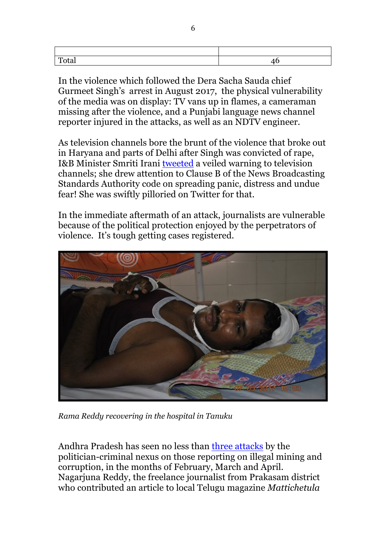| Total |  |
|-------|--|
|       |  |

In the violence which followed the Dera Sacha Sauda chief Gurmeet Singh's arrest in August 2017, the physical vulnerability of the media was on display: TV vans up in flames, a cameraman missing after the violence, and a Punjabi language news channel reporter injured in the attacks, as well as an NDTV engineer.

As television channels bore the brunt of the violence that broke out in Haryana and parts of Delhi after Singh was convicted of rape, I&B Minister Smriti Irani tweeted a veiled warning to television channels; she drew attention to Clause B of the News Broadcasting Standards Authority code on spreading panic, distress and undue fear! She was swiftly pilloried on Twitter for that.

In the immediate aftermath of an attack, journalists are vulnerable because of the political protection enjoyed by the perpetrators of violence. It's tough getting cases registered.



*Rama Reddy recovering in the hospital in Tanuku*

Andhra Pradesh has seen no less than three attacks by the politician-criminal nexus on those reporting on illegal mining and corruption, in the months of February, March and April. Nagarjuna Reddy, the freelance journalist from Prakasam district who contributed an article to local Telugu magazine *Mattichetula*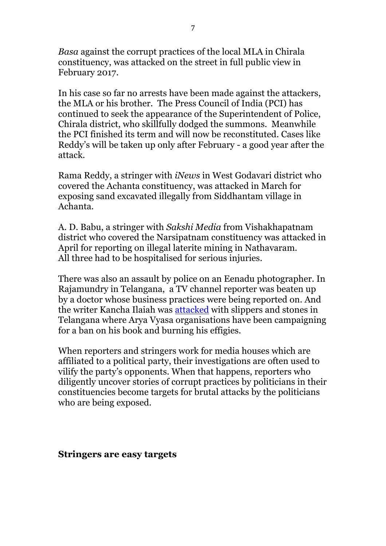*Basa* against the corrupt practices of the local MLA in Chirala constituency, was attacked on the street in full public view in February 2017.

In his case so far no arrests have been made against the attackers, the MLA or his brother. The Press Council of India (PCI) has continued to seek the appearance of the Superintendent of Police, Chirala district, who skillfully dodged the summons. Meanwhile the PCI finished its term and will now be reconstituted. Cases like Reddy's will be taken up only after February - a good year after the attack.

Rama Reddy, a stringer with *iNews* in West Godavari district who covered the Achanta constituency, was attacked in March for exposing sand excavated illegally from Siddhantam village in Achanta.

A. D. Babu, a stringer with *Sakshi Media* from Vishakhapatnam district who covered the Narsipatnam constituency was attacked in April for reporting on illegal laterite mining in Nathavaram. All three had to be hospitalised for serious injuries.

There was also an assault by police on an Eenadu photographer. In Rajamundry in Telangana, a TV channel reporter was beaten up by a doctor whose business practices were being reported on. And the writer Kancha Ilaiah was attacked with slippers and stones in Telangana where Arya Vyasa organisations have been campaigning for a ban on his book and burning his effigies.

When reporters and stringers work for media houses which are affiliated to a political party, their investigations are often used to vilify the party's opponents. When that happens, reporters who diligently uncover stories of corrupt practices by politicians in their constituencies become targets for brutal attacks by the politicians who are being exposed.

**Stringers are easy targets**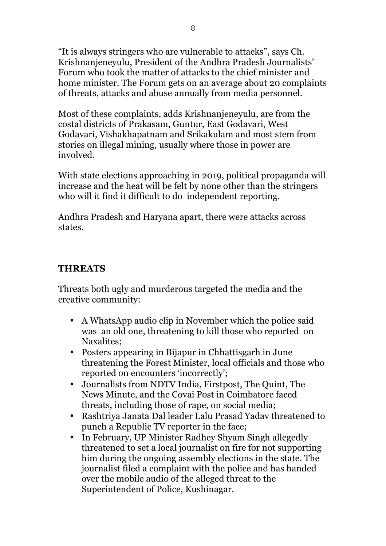"It is always stringers who are vulnerable to attacks", says Ch. Krishnanjeneyulu, President of the Andhra Pradesh Journalists' Forum who took the matter of attacks to the chief minister and home minister. The Forum gets on an average about 20 complaints of threats, attacks and abuse annually from media personnel.

Most of these complaints, adds Krishnanjeneyulu, are from the costal districts of Prakasam, Guntur, East Godavari, West Godavari, Vishakhapatnam and Srikakulam and most stem from stories on illegal mining, usually where those in power are involved.

With state elections approaching in 2019, political propaganda will increase and the heat will be felt by none other than the stringers who will it find it difficult to do independent reporting.

Andhra Pradesh and Haryana apart, there were attacks across states.

### **THREATS**

Threats both ugly and murderous targeted the media and the creative community:

- A WhatsApp audio clip in November which the police said was an old one, threatening to kill those who reported on Naxalites;
- Posters appearing in Bijapur in Chhattisgarh in June threatening the Forest Minister, local officials and those who reported on encounters 'incorrectly';
- Journalists from NDTV India, Firstpost, The Quint, The News Minute, and the Covai Post in Coimbatore faced threats, including those of rape, on social media;
- Rashtriya Janata Dal leader Lalu Prasad Yadav threatened to punch a Republic TV reporter in the face;
- In February, UP Minister Radhey Shyam Singh allegedly threatened to set a local journalist on fire for not supporting him during the ongoing assembly elections in the state. The journalist filed a complaint with the police and has handed over the mobile audio of the alleged threat to the Superintendent of Police, Kushinagar.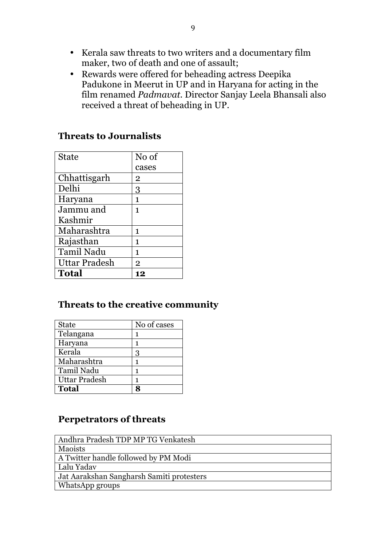- Kerala saw threats to two writers and a documentary film maker, two of death and one of assault;
- Rewards were offered for beheading actress Deepika Padukone in Meerut in UP and in Haryana for acting in the film renamed *Padmavat.* Director Sanjay Leela Bhansali also received a threat of beheading in UP.

### **Threats to Journalists**

| <b>State</b>      | No of          |  |  |  |
|-------------------|----------------|--|--|--|
|                   | cases          |  |  |  |
| Chhattisgarh      | $\mathbf 2$    |  |  |  |
| Delhi             | 3              |  |  |  |
| Haryana           | 1              |  |  |  |
| Jammu and         | 1              |  |  |  |
| Kashmir           |                |  |  |  |
| Maharashtra       | 1              |  |  |  |
| Rajasthan         | 1              |  |  |  |
| <b>Tamil Nadu</b> | 1              |  |  |  |
| Uttar Pradesh     | $\overline{2}$ |  |  |  |
| <b>Total</b>      | 12             |  |  |  |

### **Threats to the creative community**

| <b>State</b>         | No of cases |
|----------------------|-------------|
| Telangana            | 1           |
| Haryana              | 1           |
| Kerala               | 3           |
| Maharashtra          | 1           |
| <b>Tamil Nadu</b>    | 1           |
| <b>Uttar Pradesh</b> |             |
| <b>Total</b>         |             |

### **Perpetrators of threats**

| Andhra Pradesh TDP MP TG Venkatesh        |
|-------------------------------------------|
| <b>Maoists</b>                            |
| A Twitter handle followed by PM Modi      |
| Lalu Yadav                                |
| Jat Aarakshan Sangharsh Samiti protesters |
| WhatsApp groups                           |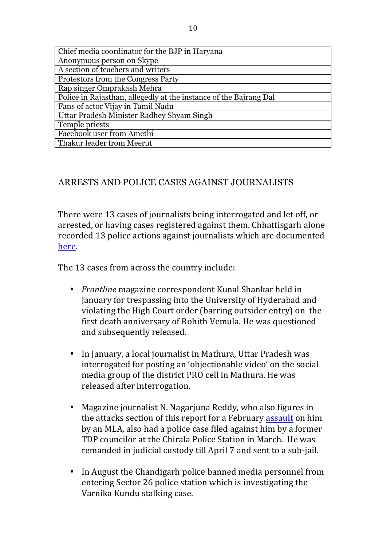| Chief media coordinator for the BJP in Haryana                    |
|-------------------------------------------------------------------|
| Anonymous person on Skype                                         |
| A section of teachers and writers                                 |
| Protestors from the Congress Party                                |
| Rap singer Omprakash Mehra                                        |
| Police in Rajasthan, allegedly at the instance of the Bajrang Dal |
| Fans of actor Vijay in Tamil Nadu                                 |
| Uttar Pradesh Minister Radhey Shyam Singh                         |
| Temple priests                                                    |
| Facebook user from Amethi                                         |
| Thakur leader from Meerut                                         |

#### ARRESTS AND POLICE CASES AGAINST JOURNALISTS

There were 13 cases of journalists being interrogated and let off, or arrested, or having cases registered against them. Chhattisgarh alone recorded 13 police actions against journalists which are documented here.

The 13 cases from across the country include:

- *Frontline* magazine correspondent Kunal Shankar held in January for trespassing into the University of Hyderabad and violating the High Court order (barring outsider entry) on the first death anniversary of Rohith Vemula. He was questioned and subsequently released.
- In January, a local journalist in Mathura, Uttar Pradesh was interrogated for posting an 'objectionable video' on the social media group of the district PRO cell in Mathura. He was released after interrogation.
- Magazine iournalist N. Nagariuna Reddy, who also figures in the attacks section of this report for a February assault on him by an MLA, also had a police case filed against him by a former TDP councilor at the Chirala Police Station in March. He was remanded in judicial custody till April 7 and sent to a sub-jail.
- In August the Chandigarh police banned media personnel from entering Sector 26 police station which is investigating the Varnika Kundu stalking case.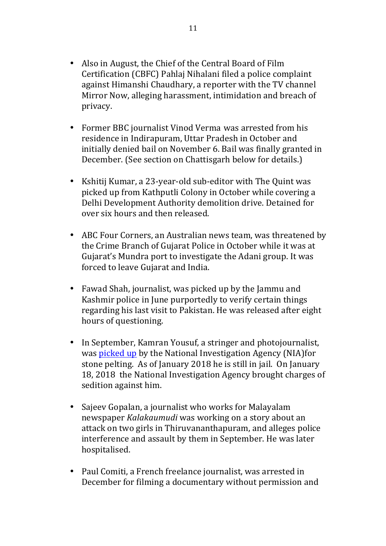- Also in August, the Chief of the Central Board of Film Certification (CBFC) Pahlaj Nihalani filed a police complaint against Himanshi Chaudhary, a reporter with the TV channel Mirror Now, alleging harassment, intimidation and breach of privacy.
- Former BBC journalist Vinod Verma was arrested from his residence in Indirapuram, Uttar Pradesh in October and initially denied bail on November 6. Bail was finally granted in December. (See section on Chattisgarh below for details.)
- Kshitij Kumar, a 23-year-old sub-editor with The Ouint was picked up from Kathputli Colony in October while covering a Delhi Development Authority demolition drive. Detained for over six hours and then released.
- ABC Four Corners, an Australian news team, was threatened by the Crime Branch of Gujarat Police in October while it was at Gujarat's Mundra port to investigate the Adani group. It was forced to leave Gujarat and India.
- Fawad Shah, journalist, was picked up by the Jammu and Kashmir police in June purportedly to verify certain things regarding his last visit to Pakistan. He was released after eight hours of questioning.
- In September, Kamran Yousuf, a stringer and photojournalist, was picked up by the National Investigation Agency (NIA)for stone pelting. As of January 2018 he is still in jail. On January 18, 2018 the National Investigation Agency brought charges of sedition against him.
- Sajeev Gopalan, a journalist who works for Malayalam newspaper *Kalakaumudi* was working on a story about an attack on two girls in Thiruvananthapuram, and alleges police interference and assault by them in September. He was later hospitalised.
- Paul Comiti, a French freelance journalist, was arrested in December for filming a documentary without permission and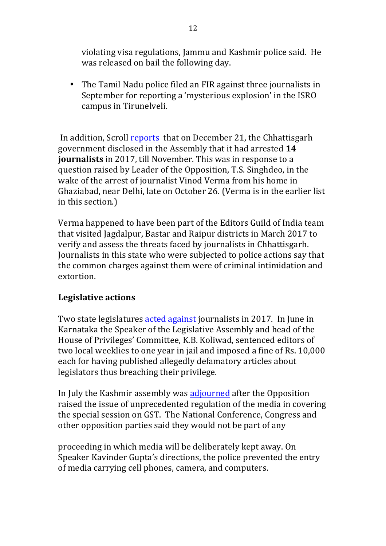violating visa regulations, Jammu and Kashmir police said. He was released on bail the following day.

• The Tamil Nadu police filed an FIR against three journalists in September for reporting a 'mysterious explosion' in the ISRO campus in Tirunelveli.

In addition, Scroll reports that on December 21, the Chhattisgarh government disclosed in the Assembly that it had arrested 14 **journalists** in 2017, till November. This was in response to a question raised by Leader of the Opposition, T.S. Singhdeo, in the wake of the arrest of journalist Vinod Verma from his home in Ghaziabad, near Delhi, late on October 26. (Verma is in the earlier list in this section.)

Verma happened to have been part of the Editors Guild of India team that visited Jagdalpur, Bastar and Raipur districts in March 2017 to verify and assess the threats faced by journalists in Chhattisgarh. Journalists in this state who were subjected to police actions say that the common charges against them were of criminal intimidation and extortion. 

#### **Legislative actions**

Two state legislatures acted against journalists in 2017. In June in Karnataka the Speaker of the Legislative Assembly and head of the House of Privileges' Committee, K.B. Koliwad, sentenced editors of two local weeklies to one year in jail and imposed a fine of Rs. 10,000 each for having published allegedly defamatory articles about legislators thus breaching their privilege.

In July the Kashmir assembly was adjourned after the Opposition raised the issue of unprecedented regulation of the media in covering the special session on GST. The National Conference, Congress and other opposition parties said they would not be part of any

proceeding in which media will be deliberately kept away. On Speaker Kavinder Gupta's directions, the police prevented the entry of media carrying cell phones, camera, and computers.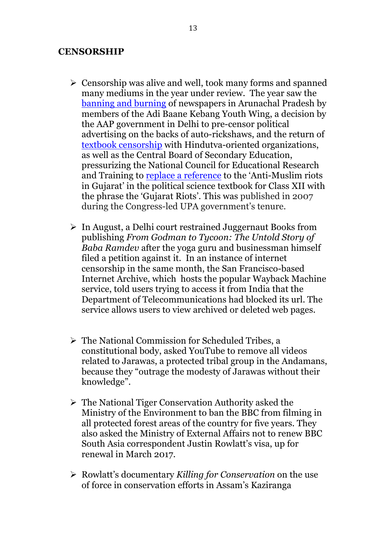#### **CENSORSHIP**

- $\triangleright$  Censorship was alive and well, took many forms and spanned many mediums in the year under review. The year saw the banning and burning of newspapers in Arunachal Pradesh by members of the Adi Baane Kebang Youth Wing, a decision by the AAP government in Delhi to pre-censor political advertising on the backs of auto-rickshaws, and the return of textbook censorship with Hindutva-oriented organizations, as well as the Central Board of Secondary Education, pressurizing the National Council for Educational Research and Training to replace a reference to the 'Anti-Muslim riots in Gujarat' in the political science textbook for Class XII with the phrase the 'Gujarat Riots'. This was published in 2007 during the Congress-led UPA government's tenure.
- $\triangleright$  In August, a Delhi court restrained Juggernaut Books from publishing *From Godman to Tycoon: The Untold Story of Baba Ramdev* after the yoga guru and businessman himself filed a petition against it. In an instance of internet censorship in the same month, the San Francisco-based Internet Archive, which hosts the popular Wayback Machine service, told users trying to access it from India that the Department of Telecommunications had blocked its url. The service allows users to view archived or deleted web pages.
- $\triangleright$  The National Commission for Scheduled Tribes, a constitutional body, asked YouTube to remove all videos related to Jarawas, a protected tribal group in the Andamans, because they "outrage the modesty of Jarawas without their knowledge".
- $\triangleright$  The National Tiger Conservation Authority asked the Ministry of the Environment to ban the BBC from filming in all protected forest areas of the country for five years. They also asked the Ministry of External Affairs not to renew BBC South Asia correspondent Justin Rowlatt's visa, up for renewal in March 2017.
- Ø Rowlatt's documentary *Killing for Conservation* on the use of force in conservation efforts in Assam's Kaziranga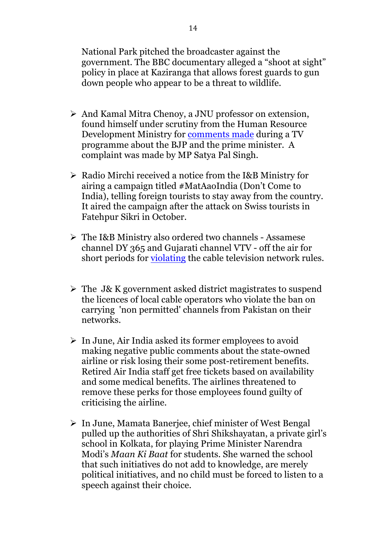National Park pitched the broadcaster against the government. The BBC documentary alleged a "shoot at sight" policy in place at Kaziranga that allows forest guards to gun down people who appear to be a threat to wildlife.

- $\triangleright$  And Kamal Mitra Chenoy, a JNU professor on extension, found himself under scrutiny from the Human Resource Development Ministry for comments made during a TV programme about the BJP and the prime minister. A complaint was made by MP Satya Pal Singh.
- $\triangleright$  Radio Mirchi received a notice from the I&B Ministry for airing a campaign titled #MatAaoIndia (Don't Come to India), telling foreign tourists to stay away from the country. It aired the campaign after the attack on Swiss tourists in Fatehpur Sikri in October.
- Ø The I&B Ministry also ordered two channels Assamese channel DY 365 and Gujarati channel VTV - off the air for short periods for violating the cable television network rules.
- $\triangleright$  The J& K government asked district magistrates to suspend the licences of local cable operators who violate the ban on carrying 'non permitted' channels from Pakistan on their networks.
- $\triangleright$  In June, Air India asked its former employees to avoid making negative public comments about the state-owned airline or risk losing their some post-retirement benefits. Retired Air India staff get free tickets based on availability and some medical benefits. The airlines threatened to remove these perks for those employees found guilty of criticising the airline.
- $\triangleright$  In June, Mamata Banerjee, chief minister of West Bengal pulled up the authorities of Shri Shikshayatan, a private girl's school in Kolkata, for playing Prime Minister Narendra Modi's *Maan Ki Baat* for students. She warned the school that such initiatives do not add to knowledge, are merely political initiatives, and no child must be forced to listen to a speech against their choice.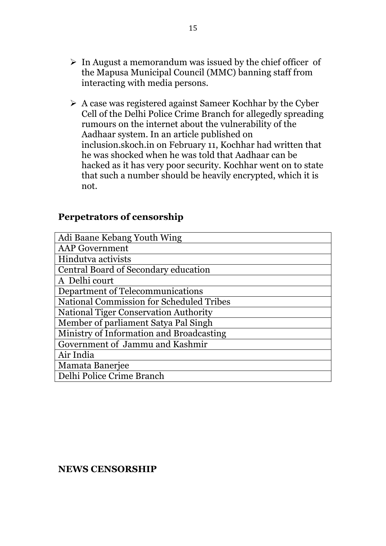- $\triangleright$  In August a memorandum was issued by the chief officer of the Mapusa Municipal Council (MMC) banning staff from interacting with media persons.
- $\triangleright$  A case was registered against Sameer Kochhar by the Cyber Cell of the Delhi Police Crime Branch for allegedly spreading rumours on the internet about the vulnerability of the Aadhaar system. In an article published on inclusion.skoch.in on February 11, Kochhar had written that he was shocked when he was told that Aadhaar can be hacked as it has very poor security. Kochhar went on to state that such a number should be heavily encrypted, which it is not.

#### **Perpetrators of censorship**

| Adi Baane Kebang Youth Wing                     |
|-------------------------------------------------|
| <b>AAP</b> Government                           |
| Hindutva activists                              |
| Central Board of Secondary education            |
| A Delhi court                                   |
| Department of Telecommunications                |
| <b>National Commission for Scheduled Tribes</b> |
| <b>National Tiger Conservation Authority</b>    |
| Member of parliament Satya Pal Singh            |
| Ministry of Information and Broadcasting        |
| Government of Jammu and Kashmir                 |
| Air India                                       |
| Mamata Banerjee                                 |
| Delhi Police Crime Branch                       |

#### **NEWS CENSORSHIP**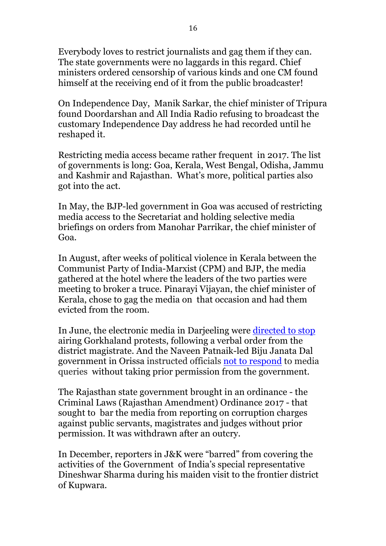Everybody loves to restrict journalists and gag them if they can. The state governments were no laggards in this regard. Chief ministers ordered censorship of various kinds and one CM found himself at the receiving end of it from the public broadcaster!

On Independence Day, Manik Sarkar, the chief minister of Tripura found Doordarshan and All India Radio refusing to broadcast the customary Independence Day address he had recorded until he reshaped it.

Restricting media access became rather frequent in 2017. The list of governments is long: Goa, Kerala, West Bengal, Odisha, Jammu and Kashmir and Rajasthan. What's more, political parties also got into the act.

In May, the BJP-led government in Goa was accused of restricting media access to the Secretariat and holding selective media briefings on orders from Manohar Parrikar, the chief minister of Goa.

In August, after weeks of political violence in Kerala between the Communist Party of India-Marxist (CPM) and BJP, the media gathered at the hotel where the leaders of the two parties were meeting to broker a truce. Pinarayi Vijayan, the chief minister of Kerala, chose to gag the media on that occasion and had them evicted from the room.

In June, the electronic media in Darjeeling were directed to stop airing Gorkhaland protests, following a verbal order from the district magistrate. And the Naveen Patnaik-led Biju Janata Dal government in Orissa instructed officials not to respond to media queries without taking prior permission from the government.

The Rajasthan state government brought in an ordinance - the Criminal Laws (Rajasthan Amendment) Ordinance 2017 - that sought to bar the media from reporting on corruption charges against public servants, magistrates and judges without prior permission. It was withdrawn after an outcry.

In December, reporters in J&K were "barred" from covering the activities of the Government of India's special representative Dineshwar Sharma during his maiden visit to the frontier district of Kupwara.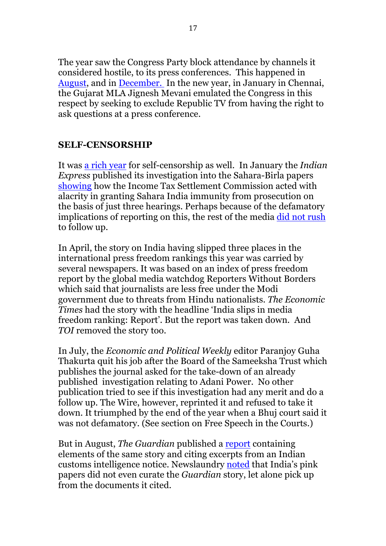The year saw the Congress Party block attendance by channels it considered hostile, to its press conferences. This happened in August, and in December. In the new year, in January in Chennai, the Gujarat MLA Jignesh Mevani emulated the Congress in this respect by seeking to exclude Republic TV from having the right to ask questions at a press conference.

#### **SELF-CENSORSHIP**

It was a rich year for self-censorship as well. In January the *Indian Express* published its investigation into the Sahara-Birla papers showing how the Income Tax Settlement Commission acted with alacrity in granting Sahara India immunity from prosecution on the basis of just three hearings. Perhaps because of the defamatory implications of reporting on this, the rest of the media did not rush to follow up.

In April, the story on India having slipped three places in the international press freedom rankings this year was carried by several newspapers. It was based on an index of press freedom report by the global media watchdog Reporters Without Borders which said that journalists are less free under the Modi government due to threats from Hindu nationalists. *The Economic Times* had the story with the headline 'India slips in media freedom ranking: Report'. But the report was taken down. And *TOI* removed the story too.

In July, the *Economic and Political Weekly* editor Paranjoy Guha Thakurta quit his job after the Board of the Sameeksha Trust which publishes the journal asked for the take-down of an already published investigation relating to Adani Power. No other publication tried to see if this investigation had any merit and do a follow up. The Wire, however, reprinted it and refused to take it down. It triumphed by the end of the year when a Bhuj court said it was not defamatory. (See section on Free Speech in the Courts.)

But in August, *The Guardian* published a report containing elements of the same story and citing excerpts from an Indian customs intelligence notice. Newslaundry noted that India's pink papers did not even curate the *Guardian* story, let alone pick up from the documents it cited.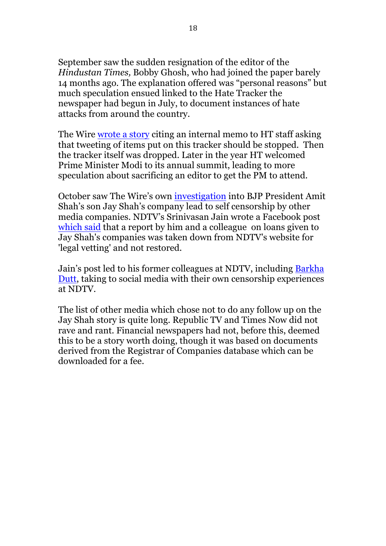September saw the sudden resignation of the editor of the *Hindustan Times,* Bobby Ghosh, who had joined the paper barely 14 months ago. The explanation offered was "personal reasons" but much speculation ensued linked to the Hate Tracker the newspaper had begun in July, to document instances of hate attacks from around the country.

The Wire wrote a story citing an internal memo to HT staff asking that tweeting of items put on this tracker should be stopped. Then the tracker itself was dropped. Later in the year HT welcomed Prime Minister Modi to its annual summit, leading to more speculation about sacrificing an editor to get the PM to attend.

October saw The Wire's own investigation into BJP President Amit Shah's son Jay Shah's company lead to self censorship by other media companies. NDTV's Srinivasan Jain wrote a Facebook post which said that a report by him and a colleague on loans given to Jay Shah's companies was taken down from NDTV's website for 'legal vetting' and not restored.

Jain's post led to his former colleagues at NDTV, including Barkha Dutt, taking to social media with their own censorship experiences at NDTV.

The list of other media which chose not to do any follow up on the Jay Shah story is quite long. Republic TV and Times Now did not rave and rant. Financial newspapers had not, before this, deemed this to be a story worth doing, though it was based on documents derived from the Registrar of Companies database which can be downloaded for a fee.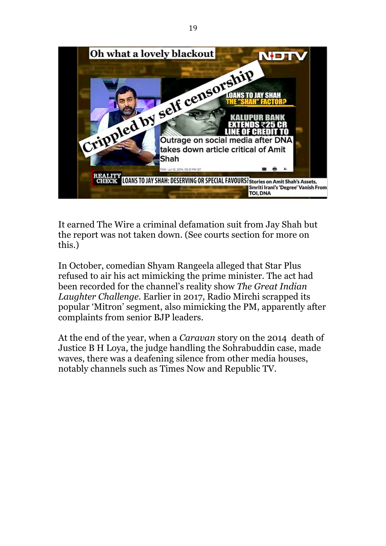

It earned The Wire a criminal defamation suit from Jay Shah but the report was not taken down. (See courts section for more on this.)

In October, comedian Shyam Rangeela alleged that Star Plus refused to air his act mimicking the prime minister. The act had been recorded for the channel's reality show *The Great Indian Laughter Challenge.* Earlier in 2017, Radio Mirchi scrapped its popular 'Mitron' segment, also mimicking the PM, apparently after complaints from senior BJP leaders.

At the end of the year, when a *Caravan* story on the 2014 death of Justice B H Loya, the judge handling the Sohrabuddin case, made waves, there was a deafening silence from other media houses, notably channels such as Times Now and Republic TV.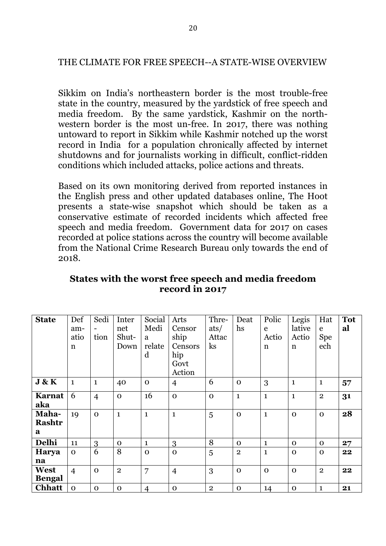#### THE CLIMATE FOR FREE SPEECH--A STATE-WISE OVERVIEW

Sikkim on India's northeastern border is the most trouble-free state in the country, measured by the yardstick of free speech and media freedom. By the same yardstick, Kashmir on the northwestern border is the most un-free. In 2017, there was nothing untoward to report in Sikkim while Kashmir notched up the worst record in India for a population chronically affected by internet shutdowns and for journalists working in difficult, conflict-ridden conditions which included attacks, police actions and threats.

Based on its own monitoring derived from reported instances in the English press and other updated databases online, The Hoot presents a state-wise snapshot which should be taken as a conservative estimate of recorded incidents which affected free speech and media freedom. Government data for 2017 on cases recorded at police stations across the country will become available from the National Crime Research Bureau only towards the end of 2018.

| <b>State</b>  | Def            | Sedi           | Inter        | Social         | Arts           | Thre-          | Deat         | Polic        | Legis        | Hat          | <b>Tot</b> |
|---------------|----------------|----------------|--------------|----------------|----------------|----------------|--------------|--------------|--------------|--------------|------------|
|               | am-            | -              | net          | Medi           | Censor         | ats/           | hs           | e            | lative       | e            | al         |
|               | atio           | tion           | Shut-        | a              | ship           | Attac          |              | Actio        | Actio        | <b>Spe</b>   |            |
|               | $\mathbf n$    |                | Down         | relate         | Censors        | $\rm ks$       |              | n            | $\mathbf n$  | ech          |            |
|               |                |                |              | d              | hip            |                |              |              |              |              |            |
|               |                |                |              |                | Govt           |                |              |              |              |              |            |
|               |                |                |              |                | Action         |                |              |              |              |              |            |
| J & K         | $\mathbf{1}$   | $\mathbf{1}$   | 40           | $\mathbf 0$    | $\overline{4}$ | 6              | $\Omega$     | 3            | $\mathbf{1}$ | $\mathbf{1}$ | 57         |
| <b>Karnat</b> | 6              | $\overline{4}$ | $\mathbf 0$  | 16             | $\mathbf 0$    | $\Omega$       | $\mathbf{1}$ | $\mathbf{1}$ | $\mathbf{1}$ | $\mathbf{2}$ | 31         |
| aka           |                |                |              |                |                |                |              |              |              |              |            |
| Maha-         | 19             | $\Omega$       | $\mathbf{1}$ | $\mathbf{1}$   | $\mathbf{1}$   | 5              | $\Omega$     | $\mathbf{1}$ | $\mathbf 0$  | $\mathbf 0$  | 28         |
| <b>Rashtr</b> |                |                |              |                |                |                |              |              |              |              |            |
| a             |                |                |              |                |                |                |              |              |              |              |            |
| Delhi         | 11             | 3              | $\mathbf 0$  | $\mathbf{1}$   | 3              | 8              | $\Omega$     | 1            | $\Omega$     | $\Omega$     | 27         |
| Harya         | $\Omega$       | 6              | 8            | $\mathbf 0$    | $\mathbf 0$    | 5              | $\mathbf{2}$ | $\mathbf{1}$ | $\mathbf 0$  | $\mathbf 0$  | 22         |
| na            |                |                |              |                |                |                |              |              |              |              |            |
| West          | $\overline{4}$ | $\Omega$       | $\mathbf{2}$ | 7              | $\overline{4}$ | 3              | $\Omega$     | $\mathbf 0$  | $\mathbf 0$  | $\mathbf{2}$ | 22         |
| <b>Bengal</b> |                |                |              |                |                |                |              |              |              |              |            |
| <b>Chhatt</b> | $\mathbf 0$    | $\mathbf 0$    | $\mathbf 0$  | $\overline{4}$ | $\mathbf 0$    | $\overline{2}$ | $\mathbf 0$  | 14           | $\mathbf 0$  | $\mathbf{1}$ | 21         |

#### **States with the worst free speech and media freedom record in 2017**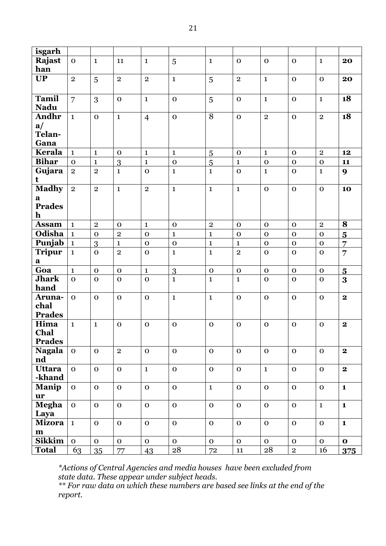| isgarh         |                              |                |                                |                |                             |                |                                |                |                |                |                         |
|----------------|------------------------------|----------------|--------------------------------|----------------|-----------------------------|----------------|--------------------------------|----------------|----------------|----------------|-------------------------|
| Rajast         | $\mathbf 0$                  | $\mathbf{1}$   | 11                             | $\mathbf{1}$   | 5                           | $\mathbf{1}$   | $\mathbf 0$                    | $\mathbf O$    | $\mathbf{O}$   | $\mathbf{1}$   | 20                      |
| han            |                              |                |                                |                |                             |                |                                |                |                |                |                         |
| <b>UP</b>      | $\overline{2}$               | 5              | $\mathbf{2}$                   | $\overline{2}$ | $\mathbf{1}$                | 5              | $\mathbf{2}$                   | $\mathbf{1}$   | $\mathbf{O}$   | $\mathbf{O}$   | 20                      |
|                |                              |                |                                |                |                             |                |                                |                |                |                |                         |
| <b>Tamil</b>   | $\overline{7}$               | 3              | $\mathbf 0$                    | $\mathbf{1}$   | $\mathbf 0$                 | 5              | $\mathbf{O}$                   | $\mathbf{1}$   | $\mathbf{O}$   | $\mathbf{1}$   | 18                      |
| <b>Nadu</b>    |                              |                |                                |                |                             |                |                                |                |                |                |                         |
| Andhr          | $\mathbf{1}$                 | $\mathbf O$    | $\mathbf{1}$                   | $\overline{4}$ | $\mathbf 0$                 | $\overline{8}$ | $\mathbf{o}$                   | $\overline{2}$ | $\mathbf{o}$   | $\overline{2}$ | 18                      |
| a/             |                              |                |                                |                |                             |                |                                |                |                |                |                         |
| Telan-         |                              |                |                                |                |                             |                |                                |                |                |                |                         |
| Gana           |                              |                |                                |                |                             |                |                                |                |                |                |                         |
| Kerala         | $\mathbf{1}$                 | $\mathbf{1}$   | $\mathbf 0$                    | $\mathbf{1}$   | $\mathbf{1}$                | 5              | $\mathbf 0$                    | $\mathbf{1}$   | $\mathbf 0$    | $\overline{2}$ | 12                      |
| <b>Bihar</b>   | $\mathbf 0$                  | $\mathbf{1}$   | 3                              | $\mathbf{1}$   | $\mathbf 0$                 | 5              | $\mathbf{1}$                   | $\mathbf O$    | $\mathbf{O}$   | $\mathbf 0$    | 11                      |
| Gujara         | $\mathbf{2}$                 | $\overline{2}$ | $\mathbf{1}$                   | $\mathbf 0$    | $\mathbf{1}$                | $\mathbf{1}$   | $\mathbf{O}$                   | $\mathbf{1}$   | $\mathbf O$    | $\mathbf{1}$   | $\boldsymbol{9}$        |
| t              |                              |                |                                |                |                             |                |                                |                |                |                |                         |
| <b>Madhy</b>   | $\overline{2}$               | $\overline{2}$ | $\mathbf{1}$                   | $\overline{2}$ | $\mathbf{1}$                | $\mathbf{1}$   | $\mathbf{1}$                   | $\mathbf{o}$   | $\mathbf{o}$   | $\mathbf 0$    | 10                      |
| $\mathbf a$    |                              |                |                                |                |                             |                |                                |                |                |                |                         |
| <b>Prades</b>  |                              |                |                                |                |                             |                |                                |                |                |                |                         |
| $\mathbf h$    |                              |                |                                |                |                             |                |                                |                |                |                |                         |
| <b>Assam</b>   | $\mathbf{1}$                 | $\overline{2}$ | $\mathbf 0$                    | $\mathbf{1}$   | $\mathbf 0$                 | $\mathbf 2$    | $\mathbf 0$                    | $\mathbf O$    | $\mathbf{O}$   | $\mathbf{2}$   | 8                       |
| Odisha         | $\mathbf{1}$                 | $\mathbf 0$    | $\overline{2}$                 | $\mathbf 0$    | $\mathbf{1}$                | $\mathbf{1}$   | $\mathbf O$                    | $\mathbf 0$    | $\mathbf O$    | $\mathbf 0$    | $\overline{\mathbf{5}}$ |
| Punjab         |                              |                |                                |                |                             |                |                                | $\mathbf O$    | $\mathbf{O}$   |                |                         |
|                | $\mathbf{1}$<br>$\mathbf{1}$ | 3              | $\mathbf{1}$<br>$\overline{2}$ | $\mathbf O$    | $\mathbf 0$<br>$\mathbf{1}$ | $\mathbf 1$    | $\mathbf{1}$<br>$\overline{2}$ |                |                | $\mathbf 0$    | 7                       |
| <b>Tripur</b>  |                              | $\mathbf O$    |                                | $\mathbf O$    |                             | $\mathbf{1}$   |                                | $\mathbf O$    | $\mathbf O$    | $\mathbf 0$    | $\overline{7}$          |
| a<br>Goa       |                              |                |                                |                |                             |                |                                |                |                |                |                         |
| <b>Jhark</b>   | $\mathbf{1}$                 | $\mathbf 0$    | $\mathbf 0$                    | $\mathbf{1}$   | 3                           | $\mathbf 0$    | $\mathbf{O}$                   | $\mathbf{O}$   | $\mathbf{O}$   | $\mathbf 0$    | $\overline{5}$          |
| hand           | $\mathbf{O}$                 | $\mathbf 0$    | $\mathbf 0$                    | $\mathbf{O}$   | $\mathbf{1}$                | $\mathbf{1}$   | $\mathbf{1}$                   | $\mathbf{O}$   | $\mathbf 0$    | $\mathbf 0$    | 3                       |
| Aruna-         | $\mathbf{O}$                 |                |                                |                | $\mathbf{1}$                | $\mathbf{1}$   |                                | $\mathbf{O}$   |                |                | $\mathbf{2}$            |
| chal           |                              | $\mathbf 0$    | $\mathbf 0$                    | $\mathbf 0$    |                             |                | $\mathbf 0$                    |                | $\mathbf{O}$   | $\mathbf 0$    |                         |
| <b>Prades</b>  |                              |                |                                |                |                             |                |                                |                |                |                |                         |
| Hima           | $\mathbf{1}$                 |                | $\mathbf{o}$                   | $\mathbf O$    | $\mathbf{o}$                | $\mathbf 0$    | $\mathbf 0$                    | $\mathbf 0$    | $\mathbf O$    | $\mathbf 0$    | $\mathbf 2$             |
| Chal           |                              | $\mathbf{1}$   |                                |                |                             |                |                                |                |                |                |                         |
| <b>Prades</b>  |                              |                |                                |                |                             |                |                                |                |                |                |                         |
| <b>Nagala</b>  | $\mathbf 0$                  | $\mathbf 0$    | $\overline{2}$                 | $\mathbf 0$    | $\mathbf 0$                 | $\mathbf 0$    | $\mathbf 0$                    | $\mathbf{O}$   | $\mathbf{O}$   | $\mathbf 0$    | $\mathbf{2}$            |
| nd             |                              |                |                                |                |                             |                |                                |                |                |                |                         |
| Uttara         | $\mathbf{O}$                 | $\mathbf O$    | $\mathbf O$                    | $\mathbf{1}$   | $\mathbf O$                 | $\mathbf 0$    | $\mathbf{O}$                   | $\mathbf{1}$   | $\mathbf{O}$   | $\mathbf O$    | $\mathbf{2}$            |
| -khand         |                              |                |                                |                |                             |                |                                |                |                |                |                         |
| Manip          | $\mathbf{O}$                 | $\mathbf O$    | $\mathbf{o}$                   | $\mathbf{O}$   | $\mathbf{o}$                | $\mathbf{1}$   | $\mathbf{O}$                   | $\mathbf{o}$   | $\mathbf{O}$   | $\mathbf 0$    | $\mathbf{1}$            |
| $\mathbf{u}$ r |                              |                |                                |                |                             |                |                                |                |                |                |                         |
| <b>Megha</b>   | $\mathbf{O}$                 | $\mathbf{o}$   | $\mathbf{O}$                   | $\mathbf O$    | $\mathbf{o}$                | $\mathbf{o}$   | $\mathbf{o}$                   | $\mathbf{o}$   | $\mathbf{O}$   | $\mathbf{1}$   | $\mathbf{1}$            |
| Laya           |                              |                |                                |                |                             |                |                                |                |                |                |                         |
| <b>Mizora</b>  | $\mathbf{1}$                 | $\mathbf{O}$   | $\mathbf{O}$                   | $\mathbf O$    | $\mathbf{o}$                | $\mathbf 0$    | $\mathbf O$                    | $\mathbf{O}$   | $\mathbf{O}$   | $\mathbf O$    | $\mathbf{1}$            |
| $\mathbf m$    |                              |                |                                |                |                             |                |                                |                |                |                |                         |
| <b>Sikkim</b>  | $\mathbf{O}$                 | $\mathbf{O}$   | $\mathbf{O}$                   | $\mathbf{O}$   | $\mathbf{O}$                | $\mathbf 0$    | $\mathbf{O}$                   | $\mathbf{O}$   | $\mathbf O$    | $\mathbf 0$    | $\mathbf{o}$            |
| <b>Total</b>   | 63                           | 35             | 77                             | 43             | 28                          | 72             | ${\bf 11}$                     | ${\bf 28}$     | $\overline{2}$ | 16             | 375                     |
|                |                              |                |                                |                |                             |                |                                |                |                |                |                         |

*\*Actions of Central Agencies and media houses have been excluded from state data. These appear under subject heads.*

*\*\* For raw data on which these numbers are based see links at the end of the report.*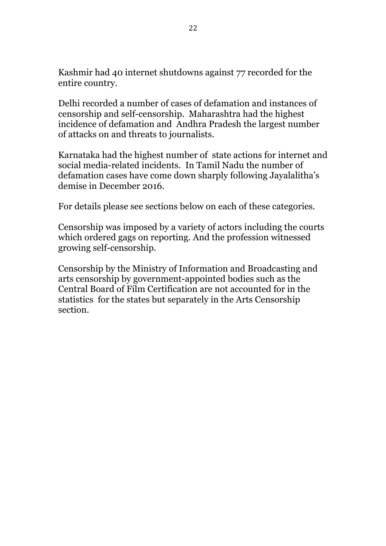Kashmir had 40 internet shutdowns against 77 recorded for the entire country.

Delhi recorded a number of cases of defamation and instances of censorship and self-censorship. Maharashtra had the highest incidence of defamation and Andhra Pradesh the largest number of attacks on and threats to journalists.

Karnataka had the highest number of state actions for internet and social media-related incidents. In Tamil Nadu the number of defamation cases have come down sharply following Jayalalitha's demise in December 2016.

For details please see sections below on each of these categories.

Censorship was imposed by a variety of actors including the courts which ordered gags on reporting. And the profession witnessed growing self-censorship.

Censorship by the Ministry of Information and Broadcasting and arts censorship by government-appointed bodies such as the Central Board of Film Certification are not accounted for in the statistics for the states but separately in the Arts Censorship section.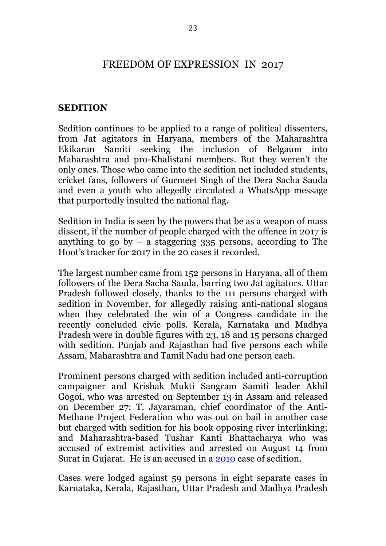### FREEDOM OF EXPRESSION IN 2017

#### **SEDITION**

Sedition continues to be applied to a range of political dissenters, from Jat agitators in Haryana, members of the Maharashtra Ekikaran Samiti seeking the inclusion of Belgaum into Maharashtra and pro-Khalistani members. But they weren't the only ones. Those who came into the sedition net included students, cricket fans, followers of Gurmeet Singh of the Dera Sacha Sauda and even a youth who allegedly circulated a WhatsApp message that purportedly insulted the national flag.

Sedition in India is seen by the powers that be as a weapon of mass dissent, if the number of people charged with the offence in 2017 is anything to go by  $-$  a staggering 335 persons, according to The Hoot's tracker for 2017 in the 20 cases it recorded.

The largest number came from 152 persons in Haryana, all of them followers of the Dera Sacha Sauda, barring two Jat agitators. Uttar Pradesh followed closely, thanks to the 111 persons charged with sedition in November, for allegedly raising anti-national slogans when they celebrated the win of a Congress candidate in the recently concluded civic polls. Kerala, Karnataka and Madhya Pradesh were in double figures with 23, 18 and 15 persons charged with sedition. Punjab and Rajasthan had five persons each while Assam, Maharashtra and Tamil Nadu had one person each.

Prominent persons charged with sedition included anti-corruption campaigner and Krishak Mukti Sangram Samiti leader Akhil Gogoi, who was arrested on September 13 in Assam and released on December 27; T. Jayaraman, chief coordinator of the Anti-Methane Project Federation who was out on bail in another case but charged with sedition for his book opposing river interlinking; and Maharashtra-based Tushar Kanti Bhattacharya who was accused of extremist activities and arrested on August 14 from Surat in Gujarat. He is an accused in a 2010 case of sedition.

Cases were lodged against 59 persons in eight separate cases in Karnataka, Kerala, Rajasthan, Uttar Pradesh and Madhya Pradesh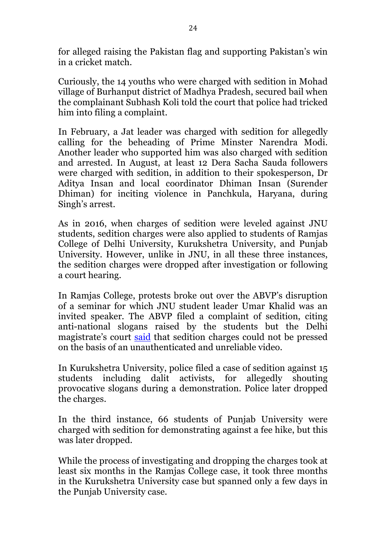for alleged raising the Pakistan flag and supporting Pakistan's win in a cricket match.

Curiously, the 14 youths who were charged with sedition in Mohad village of Burhanput district of Madhya Pradesh, secured bail when the complainant Subhash Koli told the court that police had tricked him into filing a complaint.

In February, a Jat leader was charged with sedition for allegedly calling for the beheading of Prime Minster Narendra Modi. Another leader who supported him was also charged with sedition and arrested. In August, at least 12 Dera Sacha Sauda followers were charged with sedition, in addition to their spokesperson, Dr Aditya Insan and local coordinator Dhiman Insan (Surender Dhiman) for inciting violence in Panchkula, Haryana, during Singh's arrest.

As in 2016, when charges of sedition were leveled against JNU students, sedition charges were also applied to students of Ramjas College of Delhi University, Kurukshetra University, and Punjab University. However, unlike in JNU, in all these three instances, the sedition charges were dropped after investigation or following a court hearing.

In Ramjas College, protests broke out over the ABVP's disruption of a seminar for which JNU student leader Umar Khalid was an invited speaker. The ABVP filed a complaint of sedition, citing anti-national slogans raised by the students but the Delhi magistrate's court said that sedition charges could not be pressed on the basis of an unauthenticated and unreliable video.

In Kurukshetra University, police filed a case of sedition against 15 students including dalit activists, for allegedly shouting provocative slogans during a demonstration. Police later dropped the charges.

In the third instance, 66 students of Punjab University were charged with sedition for demonstrating against a fee hike, but this was later dropped.

While the process of investigating and dropping the charges took at least six months in the Ramjas College case, it took three months in the Kurukshetra University case but spanned only a few days in the Punjab University case.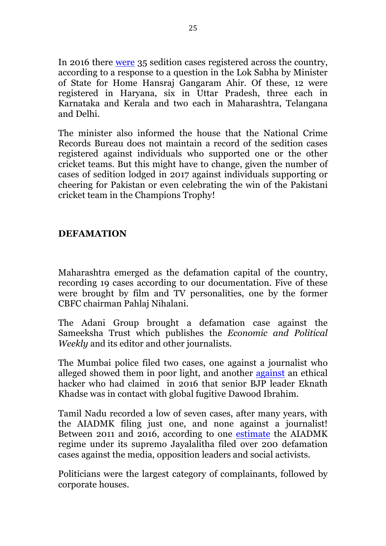In 2016 there were 35 sedition cases registered across the country, according to a response to a question in the Lok Sabha by Minister of State for Home Hansraj Gangaram Ahir. Of these, 12 were registered in Haryana, six in Uttar Pradesh, three each in Karnataka and Kerala and two each in Maharashtra, Telangana and Delhi.

The minister also informed the house that the National Crime Records Bureau does not maintain a record of the sedition cases registered against individuals who supported one or the other cricket teams. But this might have to change, given the number of cases of sedition lodged in 2017 against individuals supporting or cheering for Pakistan or even celebrating the win of the Pakistani cricket team in the Champions Trophy!

#### **DEFAMATION**

Maharashtra emerged as the defamation capital of the country, recording 19 cases according to our documentation. Five of these were brought by film and TV personalities, one by the former CBFC chairman Pahlaj Nihalani.

The Adani Group brought a defamation case against the Sameeksha Trust which publishes the *Economic and Political Weekly* and its editor and other journalists.

The Mumbai police filed two cases, one against a journalist who alleged showed them in poor light, and another against an ethical hacker who had claimed in 2016 that senior BJP leader Eknath Khadse was in contact with global fugitive Dawood Ibrahim.

Tamil Nadu recorded a low of seven cases, after many years, with the AIADMK filing just one, and none against a journalist! Between 2011 and 2016, according to one estimate the AIADMK regime under its supremo Jayalalitha filed over 200 defamation cases against the media, opposition leaders and social activists.

Politicians were the largest category of complainants, followed by corporate houses.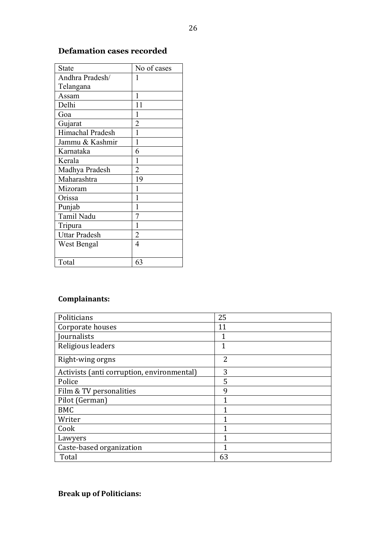| State                | No of cases    |
|----------------------|----------------|
| Andhra Pradesh/      | 1              |
| Telangana            |                |
| Assam                | 1              |
| Delhi                | 11             |
| Goa                  | 1              |
| Gujarat              | $\overline{c}$ |
| Himachal Pradesh     | 1              |
| Jammu & Kashmir      | 1              |
| Karnataka            | 6              |
| Kerala               | 1              |
| Madhya Pradesh       | $\overline{2}$ |
| Maharashtra          | 19             |
| Mizoram              | 1              |
| Orissa               |                |
| Punjab               | 1              |
| Tamil Nadu           | 7              |
| Tripura              | 1              |
| <b>Uttar Pradesh</b> | $\overline{2}$ |
| West Bengal          | $\overline{4}$ |
|                      |                |
| Total                | 63             |

#### **Defamation cases recorded**

### **Complainants:**

| Politicians                                | 25           |
|--------------------------------------------|--------------|
| Corporate houses                           | 11           |
| Journalists                                |              |
| Religious leaders                          | $\mathbf{1}$ |
| Right-wing orgns                           | 2            |
| Activists (anti corruption, environmental) | 3            |
| Police                                     | 5            |
| Film & TV personalities                    | 9            |
| Pilot (German)                             | 1            |
| <b>BMC</b>                                 |              |
| Writer                                     |              |
| Cook                                       | 1            |
| Lawyers                                    |              |
| Caste-based organization                   |              |
| Total                                      | 63           |

#### **Break up of Politicians:**

 $\overline{a}$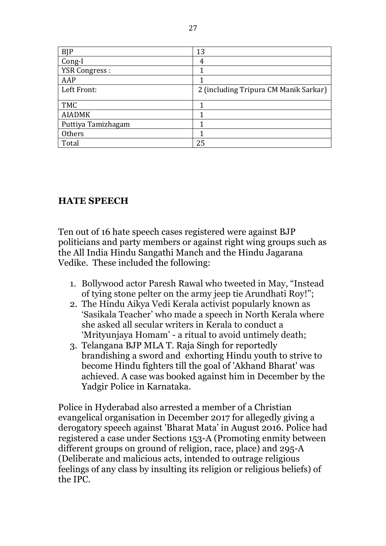| <b>BJP</b>           | 13                                    |
|----------------------|---------------------------------------|
| Cong-I               | 4                                     |
| <b>YSR Congress:</b> |                                       |
| AAP                  |                                       |
| Left Front:          | 2 (including Tripura CM Manik Sarkar) |
|                      |                                       |
| <b>TMC</b>           |                                       |
| <b>AIADMK</b>        |                                       |
| Puttiya Tamizhagam   |                                       |
|                      |                                       |
| Others               |                                       |

### **HATE SPEECH**

Ten out of 16 hate speech cases registered were against BJP politicians and party members or against right wing groups such as the All India Hindu Sangathi Manch and the Hindu Jagarana Vedike. These included the following:

- 1. Bollywood actor Paresh Rawal who tweeted in May, "Instead of tying stone pelter on the army jeep tie Arundhati Roy!";
- 2. The Hindu Aikya Vedi Kerala activist popularly known as 'Sasikala Teacher' who made a speech in North Kerala where she asked all secular writers in Kerala to conduct a 'Mrityunjaya Homam' - a ritual to avoid untimely death;
- 3. Telangana BJP MLA T. Raja Singh for reportedly brandishing a sword and exhorting Hindu youth to strive to become Hindu fighters till the goal of 'Akhand Bharat' was achieved. A case was booked against him in December by the Yadgir Police in Karnataka.

Police in Hyderabad also arrested a member of a Christian evangelical organisation in December 2017 for allegedly giving a derogatory speech against 'Bharat Mata' in August 2016. Police had registered a case under Sections 153-A (Promoting enmity between different groups on ground of religion, race, place) and 295-A (Deliberate and malicious acts, intended to outrage religious feelings of any class by insulting its religion or religious beliefs) of the IPC.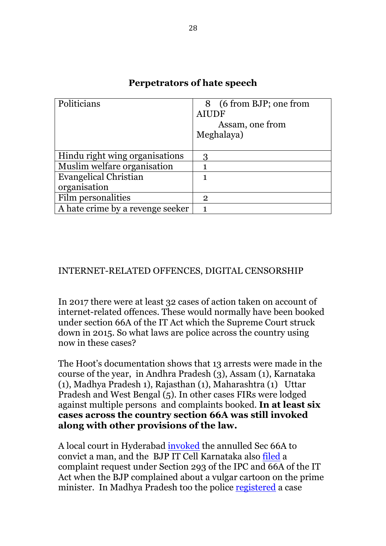| Politicians                      | 8 (6 from BJP; one from |
|----------------------------------|-------------------------|
|                                  | <b>AIUDF</b>            |
|                                  | Assam, one from         |
|                                  | Meghalaya)              |
|                                  |                         |
| Hindu right wing organisations   | 3                       |
| Muslim welfare organisation      |                         |
| <b>Evangelical Christian</b>     | 1                       |
| organisation                     |                         |
| Film personalities               | $\mathbf{2}$            |
| A hate crime by a revenge seeker |                         |

#### **Perpetrators of hate speech**

#### INTERNET-RELATED OFFENCES, DIGITAL CENSORSHIP

In 2017 there were at least 32 cases of action taken on account of internet-related offences. These would normally have been booked under section 66A of the IT Act which the Supreme Court struck down in 2015. So what laws are police across the country using now in these cases?

The Hoot's documentation shows that 13 arrests were made in the course of the year, in Andhra Pradesh (3), Assam (1), Karnataka (1), Madhya Pradesh 1), Rajasthan (1), Maharashtra (1) Uttar Pradesh and West Bengal (5). In other cases FIRs were lodged against multiple persons and complaints booked. **In at least six cases across the country section 66A was still invoked along with other provisions of the law.**

A local court in Hyderabad invoked the annulled Sec 66A to convict a man, and the BJP IT Cell Karnataka also filed a complaint request under Section 293 of the IPC and 66A of the IT Act when the BJP complained about a vulgar cartoon on the prime minister. In Madhya Pradesh too the police registered a case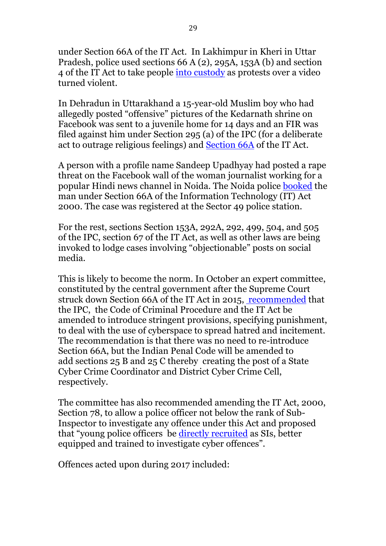under Section 66A of the IT Act. In Lakhimpur in Kheri in Uttar Pradesh, police used sections 66 A (2), 295A, 153A (b) and section 4 of the IT Act to take people into custody as protests over a video turned violent.

In Dehradun in Uttarakhand a 15-year-old Muslim boy who had allegedly posted "offensive" pictures of the Kedarnath shrine on Facebook was sent to a juvenile home for 14 days and an FIR was filed against him under Section 295 (a) of the IPC (for a deliberate act to outrage religious feelings) and Section 66A of the IT Act.

A person with a profile name Sandeep Upadhyay had posted a rape threat on the Facebook wall of the woman journalist working for a popular Hindi news channel in Noida. The Noida police booked the man under Section 66A of the Information Technology (IT) Act 2000. The case was registered at the Sector 49 police station.

For the rest, sections Section 153A, 292A, 292, 499, 504, and 505 of the IPC, section 67 of the IT Act, as well as other laws are being invoked to lodge cases involving "objectionable" posts on social media.

This is likely to become the norm. In October an expert committee, constituted by the central government after the Supreme Court struck down Section 66A of the IT Act in 2015, recommended that the IPC, the Code of Criminal Procedure and the IT Act be amended to introduce stringent provisions, specifying punishment, to deal with the use of cyberspace to spread hatred and incitement. The recommendation is that there was no need to re-introduce Section 66A, but the Indian Penal Code will be amended to add sections 25 B and 25 C thereby creating the post of a State Cyber Crime Coordinator and District Cyber Crime Cell, respectively.

The committee has also recommended amending the IT Act, 2000, Section 78, to allow a police officer not below the rank of Sub-Inspector to investigate any offence under this Act and proposed that "young police officers be directly recruited as SIs, better equipped and trained to investigate cyber offences".

Offences acted upon during 2017 included: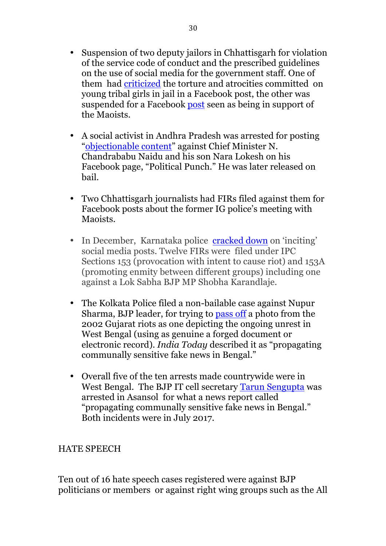- Suspension of two deputy jailors in Chhattisgarh for violation of the service code of conduct and the prescribed guidelines on the use of social media for the government staff. One of them had criticized the torture and atrocities committed on young tribal girls in jail in a Facebook post, the other was suspended for a Facebook post seen as being in support of the Maoists.
- A social activist in Andhra Pradesh was arrested for posting "objectionable content" against Chief Minister N. Chandrababu Naidu and his son Nara Lokesh on his Facebook page, "Political Punch." He was later released on bail.
- Two Chhattisgarh journalists had FIRs filed against them for Facebook posts about the former IG police's meeting with Maoists.
- In December, Karnataka police cracked down on 'inciting' social media posts. Twelve FIRs were filed under IPC Sections 153 (provocation with intent to cause riot) and 153A (promoting enmity between different groups) including one against a Lok Sabha BJP MP Shobha Karandlaje.
- The Kolkata Police filed a non-bailable case against Nupur Sharma, BJP leader, for trying to pass off a photo from the 2002 Gujarat riots as one depicting the ongoing unrest in West Bengal (using as genuine a forged document or electronic record). *India Today* described it as "propagating communally sensitive fake news in Bengal."
- Overall five of the ten arrests made countrywide were in West Bengal. The BJP IT cell secretary Tarun Sengupta was arrested in Asansol for what a news report called "propagating communally sensitive fake news in Bengal." Both incidents were in July 2017.

#### HATE SPEECH

Ten out of 16 hate speech cases registered were against BJP politicians or members or against right wing groups such as the All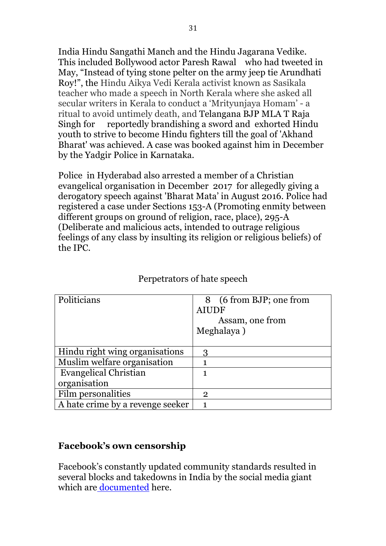India Hindu Sangathi Manch and the Hindu Jagarana Vedike. This included Bollywood actor Paresh Rawal who had tweeted in May, "Instead of tying stone pelter on the army jeep tie Arundhati Roy!", the Hindu Aikya Vedi Kerala activist known as Sasikala teacher who made a speech in North Kerala where she asked all secular writers in Kerala to conduct a 'Mrityunjaya Homam' - a ritual to avoid untimely death, and Telangana BJP MLA T Raja Singh for reportedly brandishing a sword and exhorted Hindu youth to strive to become Hindu fighters till the goal of 'Akhand Bharat' was achieved. A case was booked against him in December by the Yadgir Police in Karnataka.

Police in Hyderabad also arrested a member of a Christian evangelical organisation in December 2017 for allegedly giving a derogatory speech against 'Bharat Mata' in August 2016. Police had registered a case under Sections 153-A (Promoting enmity between different groups on ground of religion, race, place), 295-A (Deliberate and malicious acts, intended to outrage religious feelings of any class by insulting its religion or religious beliefs) of the IPC.

| Politicians                      | 8 (6 from BJP; one from |
|----------------------------------|-------------------------|
|                                  | <b>AIUDF</b>            |
|                                  | Assam, one from         |
|                                  | Meghalaya)              |
|                                  |                         |
| Hindu right wing organisations   | 3                       |
| Muslim welfare organisation      |                         |
| <b>Evangelical Christian</b>     | 1                       |
| organisation                     |                         |
| Film personalities               | $\mathfrak{p}$          |
| A hate crime by a revenge seeker |                         |

#### Perpetrators of hate speech

### **Facebook's own censorship**

Facebook's constantly updated community standards resulted in several blocks and takedowns in India by the social media giant which are documented here.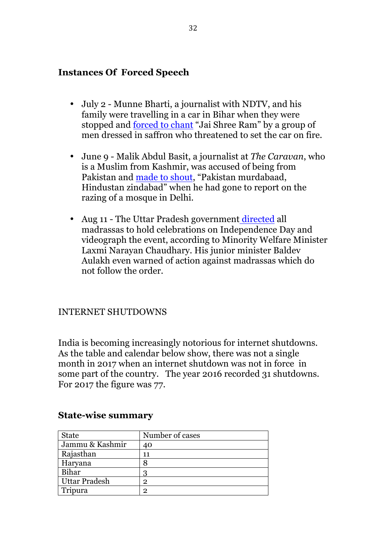#### **Instances Of Forced Speech**

- July 2 Munne Bharti, a journalist with NDTV, and his family were travelling in a car in Bihar when they were stopped and forced to chant "Jai Shree Ram" by a group of men dressed in saffron who threatened to set the car on fire.
- June 9 Malik Abdul Basit, a journalist at *The Caravan*, who is a Muslim from Kashmir, was accused of being from Pakistan and made to shout, "Pakistan murdabaad, Hindustan zindabad" when he had gone to report on the razing of a mosque in Delhi.
- Aug 11 The Uttar Pradesh government directed all madrassas to hold celebrations on Independence Day and videograph the event, according to Minority Welfare Minister Laxmi Narayan Chaudhary. His junior minister Baldev Aulakh even warned of action against madrassas which do not follow the order.

#### INTERNET SHUTDOWNS

India is becoming increasingly notorious for internet shutdowns. As the table and calendar below show, there was not a single month in 2017 when an internet shutdown was not in force in some part of the country. The year 2016 recorded 31 shutdowns. For 2017 the figure was 77.

| State                | Number of cases |
|----------------------|-----------------|
| Jammu & Kashmir      | 40              |
| Rajasthan            | 11              |
| Haryana              | 8               |
| Bihar                | २               |
| <b>Uttar Pradesh</b> | 2               |
| Tripura              | 2               |

#### **State-wise summary**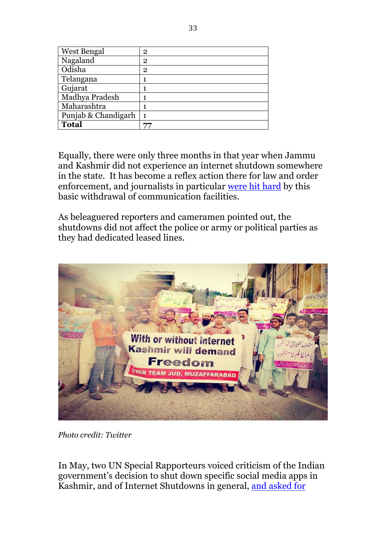| West Bengal         | $\mathbf{2}$ |
|---------------------|--------------|
| Nagaland            | $\mathbf{2}$ |
| Odisha              | $\mathbf{2}$ |
| Telangana           |              |
| Gujarat             |              |
| Madhya Pradesh      |              |
| Maharashtra         |              |
| Punjab & Chandigarh | 1            |
| <b>Total</b>        |              |

Equally, there were only three months in that year when Jammu and Kashmir did not experience an internet shutdown somewhere in the state. It has become a reflex action there for law and order enforcement, and journalists in particular were hit hard by this basic withdrawal of communication facilities.

As beleaguered reporters and cameramen pointed out, the shutdowns did not affect the police or army or political parties as they had dedicated leased lines.



*Photo credit: Twitter*

In May, two UN Special Rapporteurs voiced criticism of the Indian government's decision to shut down specific social media apps in Kashmir, and of Internet Shutdowns in general, and asked for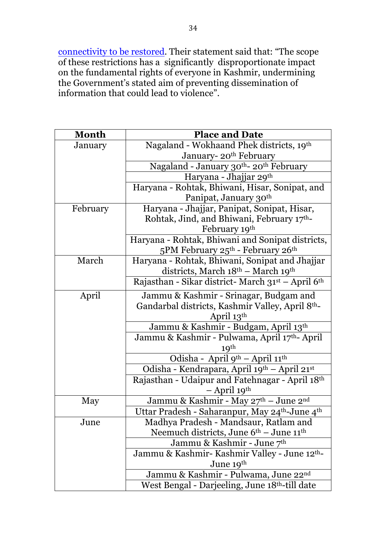connectivity to be restored. Their statement said that: "The scope of these restrictions has a significantly disproportionate impact on the fundamental rights of everyone in Kashmir, undermining the Government's stated aim of preventing dissemination of information that could lead to violence".

| <b>Month</b> | <b>Place and Date</b>                                                  |
|--------------|------------------------------------------------------------------------|
| January      | Nagaland - Wokhaand Phek districts, 19th                               |
|              | January-20 <sup>th</sup> February                                      |
|              | Nagaland - January 30 <sup>th</sup> -20 <sup>th</sup> February         |
|              | Haryana - Jhajjar 29 <sup>th</sup>                                     |
|              | Haryana - Rohtak, Bhiwani, Hisar, Sonipat, and                         |
|              | Panipat, January 30th                                                  |
| February     | Haryana - Jhajjar, Panipat, Sonipat, Hisar,                            |
|              | Rohtak, Jind, and Bhiwani, February 17th-                              |
|              | February 19th                                                          |
|              | Haryana - Rohtak, Bhiwani and Sonipat districts,                       |
|              | 5PM February 25th - February 26th                                      |
| March        | Haryana - Rohtak, Bhiwani, Sonipat and Jhajjar                         |
|              | districts, March 18th - March 19th                                     |
|              | Rajasthan - Sikar district- March 31st - April 6th                     |
| April        | Jammu & Kashmir - Srinagar, Budgam and                                 |
|              | Gandarbal districts, Kashmir Valley, April 8th-                        |
|              | April 13th                                                             |
|              | Jammu & Kashmir - Budgam, April 13th                                   |
|              | Jammu & Kashmir - Pulwama, April 17th-April                            |
|              | 19 <sup>th</sup>                                                       |
|              | Odisha - April 9 <sup>th</sup> – April 11 <sup>th</sup>                |
|              | Odisha - Kendrapara, April 19th - April 21st                           |
|              | Rajasthan - Udaipur and Fatehnagar - April 18th                        |
|              | $-$ April 19 <sup>th</sup>                                             |
| May          | Jammu & Kashmir - May 27th - June 2nd                                  |
|              | Uttar Pradesh - Saharanpur, May 24 <sup>th</sup> -June 4 <sup>th</sup> |
| June         | Madhya Pradesh - Mandsaur, Ratlam and                                  |
|              | Neemuch districts, June $6th$ – June $11th$                            |
|              | Jammu & Kashmir - June 7th                                             |
|              | Jammu & Kashmir-Kashmir Valley - June 12 <sup>th</sup> -               |
|              | June 19th                                                              |
|              | Jammu & Kashmir - Pulwama, June 22nd                                   |
|              | West Bengal - Darjeeling, June 18 <sup>th</sup> -till date             |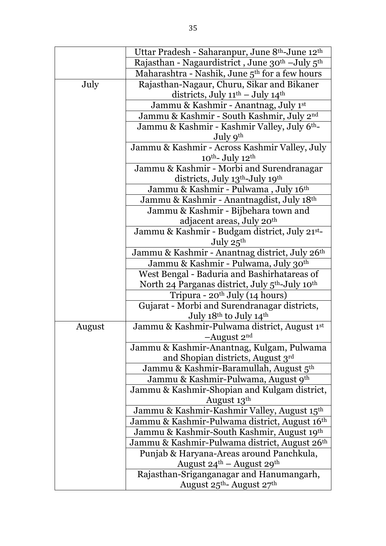|        | Uttar Pradesh - Saharanpur, June 8 <sup>th</sup> -June 12 <sup>th</sup>  |
|--------|--------------------------------------------------------------------------|
|        | Rajasthan - Nagaurdistrict, June 30 <sup>th</sup> - July 5 <sup>th</sup> |
|        | Maharashtra - Nashik, June 5 <sup>th</sup> for a few hours               |
| July   | Rajasthan-Nagaur, Churu, Sikar and Bikaner                               |
|        | districts, July 11 <sup>th</sup> - July 14 <sup>th</sup>                 |
|        | Jammu & Kashmir - Anantnag, July 1st                                     |
|        | Jammu & Kashmir - South Kashmir, July 2nd                                |
|        | Jammu & Kashmir - Kashmir Valley, July 6 <sup>th</sup> -                 |
|        | July 9th                                                                 |
|        | Jammu & Kashmir - Across Kashmir Valley, July                            |
|        | $10^{th}$ - July $12^{th}$                                               |
|        | Jammu & Kashmir - Morbi and Surendranagar                                |
|        | districts, July 13 <sup>th</sup> -July 19 <sup>th</sup>                  |
|        | Jammu & Kashmir - Pulwama, July 16th                                     |
|        | Jammu & Kashmir - Anantnagdist, July 18th                                |
|        | Jammu & Kashmir - Bijbehara town and                                     |
|        | adjacent areas, July 20 <sup>th</sup>                                    |
|        | Jammu & Kashmir - Budgam district, July 21st-                            |
|        | July 25th                                                                |
|        | Jammu & Kashmir - Anantnag district, July 26th                           |
|        | Jammu & Kashmir - Pulwama, July 30th                                     |
|        | West Bengal - Baduria and Bashirhatareas of                              |
|        | North 24 Parganas district, July 5 <sup>th</sup> -July 10 <sup>th</sup>  |
|        | Tripura - 20 <sup>th</sup> July (14 hours)                               |
|        | Gujarat - Morbi and Surendranagar districts,                             |
|        | July 18th to July 14th                                                   |
| August | Jammu & Kashmir-Pulwama district, August 1st                             |
|        | -August $2nd$                                                            |
|        | Jammu & Kashmir-Anantnag, Kulgam, Pulwama                                |
|        | and Shopian districts, August 3rd                                        |
|        | Jammu & Kashmir-Baramullah, August 5 <sup>th</sup>                       |
|        | Jammu & Kashmir-Pulwama, August 9th                                      |
|        | Jammu & Kashmir-Shopian and Kulgam district,                             |
|        | August 13th                                                              |
|        | Jammu & Kashmir-Kashmir Valley, August 15th                              |
|        | Jammu & Kashmir-Pulwama district, August 16th                            |
|        | Jammu & Kashmir-South Kashmir, August 19th                               |
|        | Jammu & Kashmir-Pulwama district, August 26th                            |
|        | Punjab & Haryana-Areas around Panchkula,                                 |
|        | August $24^{\text{th}}$ – August $29^{\text{th}}$                        |
|        | Rajasthan-Sriganganagar and Hanumangarh,                                 |
|        | August 25th-August 27th                                                  |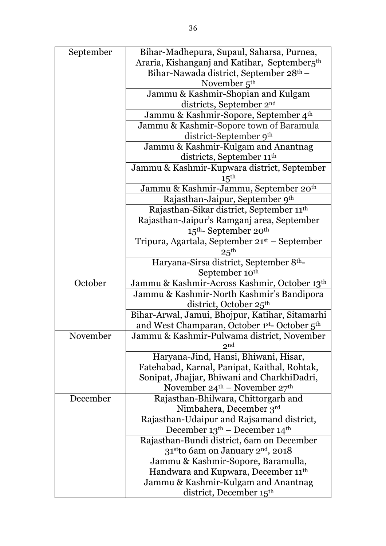| September | Bihar-Madhepura, Supaul, Saharsa, Purnea,                 |
|-----------|-----------------------------------------------------------|
|           | Araria, Kishanganj and Katihar, September5 <sup>th</sup>  |
|           | Bihar-Nawada district, September 28 <sup>th</sup> –       |
|           | November $5th$                                            |
|           | Jammu & Kashmir-Shopian and Kulgam                        |
|           | districts, September 2 <sup>nd</sup>                      |
|           | Jammu & Kashmir-Sopore, September 4 <sup>th</sup>         |
|           | Jammu & Kashmir-Sopore town of Baramula                   |
|           | district-September 9th                                    |
|           | Jammu & Kashmir-Kulgam and Anantnag                       |
|           | districts, September 11th                                 |
|           | Jammu & Kashmir-Kupwara district, September               |
|           | $15^{\text{th}}$                                          |
|           | Jammu & Kashmir-Jammu, September 20 <sup>th</sup>         |
|           | Rajasthan-Jaipur, September 9th                           |
|           | Rajasthan-Sikar district, September 11 <sup>th</sup>      |
|           | Rajasthan-Jaipur's Ramganj area, September                |
|           | $15th$ - September 20 <sup>th</sup>                       |
|           | Tripura, Agartala, September 21 <sup>st</sup> – September |
|           | $25^{\rm th}$                                             |
|           | Haryana-Sirsa district, September 8th-                    |
|           | September 10 <sup>th</sup>                                |
| October   | Jammu & Kashmir-Across Kashmir, October 13th              |
|           | Jammu & Kashmir-North Kashmir's Bandipora                 |
|           | district, October 25 <sup>th</sup>                        |
|           | Bihar-Arwal, Jamui, Bhojpur, Katihar, Sitamarhi           |
|           | and West Champaran, October 1st- October 5th              |
| November  | Jammu & Kashmir-Pulwama district, November                |
|           | 2nd                                                       |
|           | Haryana-Jind, Hansi, Bhiwani, Hisar,                      |
|           | Fatehabad, Karnal, Panipat, Kaithal, Rohtak,              |
|           | Sonipat, Jhajjar, Bhiwani and CharkhiDadri,               |
|           | November $24^{\text{th}}$ – November $27^{\text{th}}$     |
| December  | Rajasthan-Bhilwara, Chittorgarh and                       |
|           | Nimbahera, December 3rd                                   |
|           | Rajasthan-Udaipur and Rajsamand district,                 |
|           | December $13th$ – December $14th$                         |
|           | Rajasthan-Bundi district, 6am on December                 |
|           | 31stto 6am on January 2 <sup>nd</sup> , 2018              |
|           | Jammu & Kashmir-Sopore, Baramulla,                        |
|           | Handwara and Kupwara, December 11 <sup>th</sup>           |
|           | Jammu & Kashmir-Kulgam and Anantnag                       |
|           | district, December 15 <sup>th</sup>                       |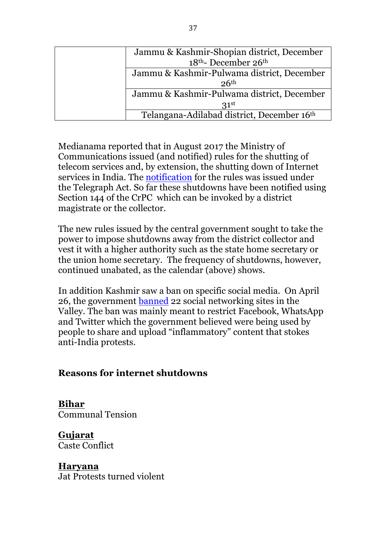| Jammu & Kashmir-Shopian district, December  |
|---------------------------------------------|
| 18 <sup>th</sup> -December 26 <sup>th</sup> |
| Jammu & Kashmir-Pulwama district, December  |
| 26 <sup>th</sup>                            |
| Jammu & Kashmir-Pulwama district, December  |
| 31 <sup>st</sup>                            |
| Telangana-Adilabad district, December 16th  |

Medianama reported that in August 2017 the Ministry of Communications issued (and notified) rules for the shutting of telecom services and, by extension, the shutting down of Internet services in India. The notification for the rules was issued under the Telegraph Act. So far these shutdowns have been notified using Section 144 of the CrPC which can be invoked by a district magistrate or the collector.

The new rules issued by the central government sought to take the power to impose shutdowns away from the district collector and vest it with a higher authority such as the state home secretary or the union home secretary. The frequency of shutdowns, however, continued unabated, as the calendar (above) shows.

In addition Kashmir saw a ban on specific social media. On April 26, the government banned 22 social networking sites in the Valley. The ban was mainly meant to restrict Facebook, WhatsApp and Twitter which the government believed were being used by people to share and upload "inflammatory" content that stokes anti-India protests.

#### **Reasons for internet shutdowns**

**Bihar** Communal Tension

**Gujarat** Caste Conflict

#### **Haryana**

Jat Protests turned violent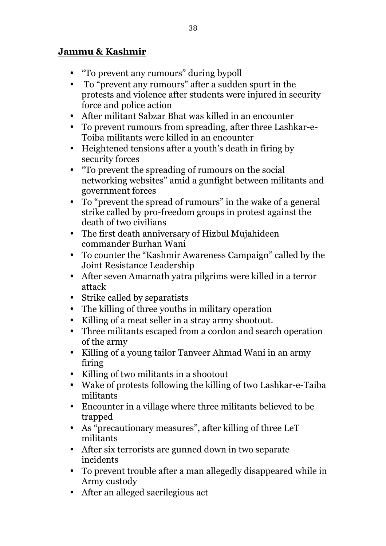### **Jammu & Kashmir**

- "To prevent any rumours" during bypoll
- To "prevent any rumours" after a sudden spurt in the protests and violence after students were injured in security force and police action
- After militant Sabzar Bhat was killed in an encounter
- To prevent rumours from spreading, after three Lashkar-e-Toiba militants were killed in an encounter
- Heightened tensions after a youth's death in firing by security forces
- "To prevent the spreading of rumours on the social networking websites" amid a gunfight between militants and government forces
- To "prevent the spread of rumours" in the wake of a general strike called by pro-freedom groups in protest against the death of two civilians
- The first death anniversary of Hizbul Mujahideen commander Burhan Wani
- To counter the "Kashmir Awareness Campaign" called by the Joint Resistance Leadership
- After seven Amarnath yatra pilgrims were killed in a terror attack
- Strike called by separatists
- The killing of three youths in military operation
- Killing of a meat seller in a stray army shootout.
- Three militants escaped from a cordon and search operation of the army
- Killing of a young tailor Tanveer Ahmad Wani in an army firing
- Killing of two militants in a shootout
- Wake of protests following the killing of two Lashkar-e-Taiba militants
- Encounter in a village where three militants believed to be trapped
- As "precautionary measures", after killing of three LeT militants
- After six terrorists are gunned down in two separate incidents
- To prevent trouble after a man allegedly disappeared while in Army custody
- After an alleged sacrilegious act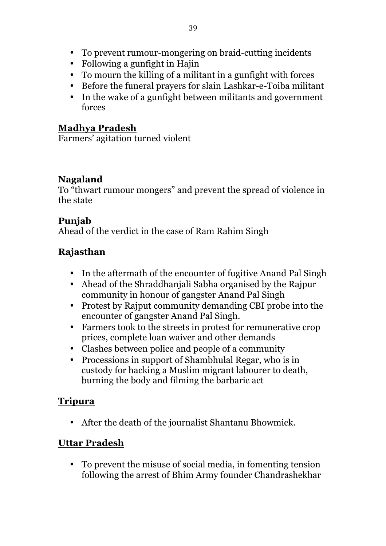- To prevent rumour-mongering on braid-cutting incidents
- Following a gunfight in Hajin
- To mourn the killing of a militant in a gunfight with forces
- Before the funeral prayers for slain Lashkar-e-Toiba militant
- In the wake of a gunfight between militants and government forces

### **Madhya Pradesh**

Farmers' agitation turned violent

### **Nagaland**

To "thwart rumour mongers" and prevent the spread of violence in the state

### **Punjab**

Ahead of the verdict in the case of Ram Rahim Singh

### **Rajasthan**

- In the aftermath of the encounter of fugitive Anand Pal Singh
- Ahead of the Shraddhanjali Sabha organised by the Rajpur community in honour of gangster Anand Pal Singh
- Protest by Rajput community demanding CBI probe into the encounter of gangster Anand Pal Singh.
- Farmers took to the streets in protest for remunerative crop prices, complete loan waiver and other demands
- Clashes between police and people of a community
- Processions in support of Shambhulal Regar, who is in custody for hacking a Muslim migrant labourer to death, burning the body and filming the barbaric act

### **Tripura**

• After the death of the journalist Shantanu Bhowmick.

### **Uttar Pradesh**

• To prevent the misuse of social media, in fomenting tension following the arrest of Bhim Army founder Chandrashekhar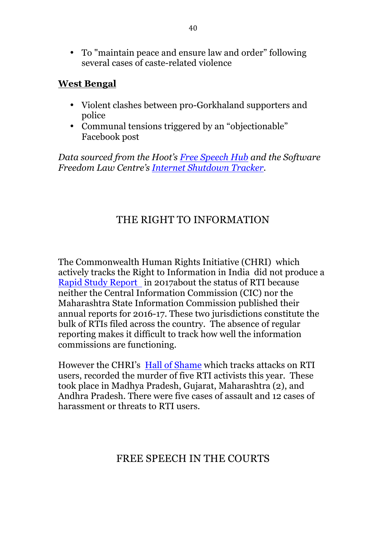• To "maintain peace and ensure law and order" following several cases of caste-related violence

#### **West Bengal**

- Violent clashes between pro-Gorkhaland supporters and police
- Communal tensions triggered by an "objectionable" Facebook post

*Data sourced from the Hoot's Free Speech Hub and the Software Freedom Law Centre's Internet Shutdown Tracker.*

## THE RIGHT TO INFORMATION

The Commonwealth Human Rights Initiative (CHRI) which actively tracks the Right to Information in India did not produce a Rapid Study Report in 2017about the status of RTI because neither the Central Information Commission (CIC) nor the Maharashtra State Information Commission published their annual reports for 2016-17. These two jurisdictions constitute the bulk of RTIs filed across the country. The absence of regular reporting makes it difficult to track how well the information commissions are functioning.

However the CHRI's Hall of Shame which tracks attacks on RTI users, recorded the murder of five RTI activists this year. These took place in Madhya Pradesh, Gujarat, Maharashtra (2), and Andhra Pradesh. There were five cases of assault and 12 cases of harassment or threats to RTI users.

### FREE SPEECH IN THE COURTS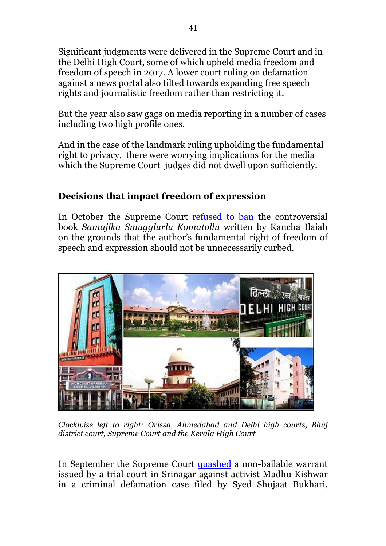Significant judgments were delivered in the Supreme Court and in the Delhi High Court, some of which upheld media freedom and freedom of speech in 2017. A lower court ruling on defamation against a news portal also tilted towards expanding free speech rights and journalistic freedom rather than restricting it.

But the year also saw gags on media reporting in a number of cases including two high profile ones.

And in the case of the landmark ruling upholding the fundamental right to privacy, there were worrying implications for the media which the Supreme Court judges did not dwell upon sufficiently.

### **Decisions that impact freedom of expression**

In October the Supreme Court refused to ban the controversial book *Samajika Smugglurlu Komatollu* written by Kancha Ilaiah on the grounds that the author's fundamental right of freedom of speech and expression should not be unnecessarily curbed.



*Clockwise left to right: Orissa, Ahmedabad and Delhi high courts, Bhuj district court, Supreme Court and the Kerala High Court*

In September the Supreme Court quashed a non-bailable warrant issued by a trial court in Srinagar against activist Madhu Kishwar in a criminal defamation case filed by Syed Shujaat Bukhari,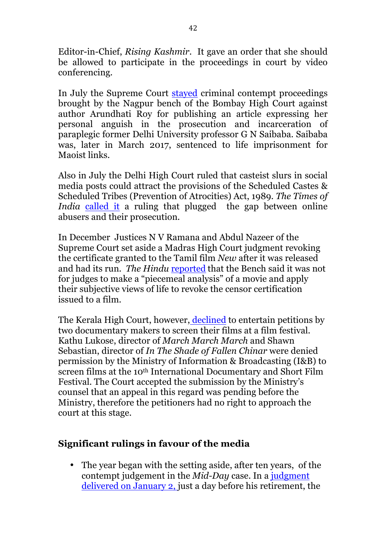Editor-in-Chief, *Rising Kashmir*. It gave an order that she should be allowed to participate in the proceedings in court by video conferencing.

In July the Supreme Court stayed criminal contempt proceedings brought by the Nagpur bench of the Bombay High Court against author Arundhati Roy for publishing an article expressing her personal anguish in the prosecution and incarceration of paraplegic former Delhi University professor G N Saibaba. Saibaba was, later in March 2017, sentenced to life imprisonment for Maoist links.

Also in July the Delhi High Court ruled that casteist slurs in social media posts could attract the provisions of the Scheduled Castes & Scheduled Tribes (Prevention of Atrocities) Act, 1989. *The Times of India* called it a ruling that plugged the gap between online abusers and their prosecution.

In December Justices N V Ramana and Abdul Nazeer of the Supreme Court set aside a Madras High Court judgment revoking the certificate granted to the Tamil film *New* after it was released and had its run. *The Hindu* reported that the Bench said it was not for judges to make a "piecemeal analysis" of a movie and apply their subjective views of life to revoke the censor certification issued to a film.

The Kerala High Court, however, declined to entertain petitions by two documentary makers to screen their films at a film festival. Kathu Lukose, director of *March March March* and Shawn Sebastian, director of *In The Shade of Fallen Chinar* were denied permission by the Ministry of Information & Broadcasting (I&B) to screen films at the 10<sup>th</sup> International Documentary and Short Film Festival. The Court accepted the submission by the Ministry's counsel that an appeal in this regard was pending before the Ministry, therefore the petitioners had no right to approach the court at this stage.

### **Significant rulings in favour of the media**

• The year began with the setting aside, after ten years, of the contempt judgement in the *Mid-Day* case. In a judgment delivered on January 2, just a day before his retirement, the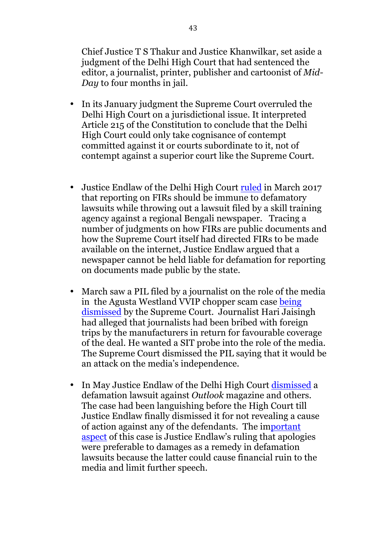Chief Justice T S Thakur and Justice Khanwilkar, set aside a judgment of the Delhi High Court that had sentenced the editor, a journalist, printer, publisher and cartoonist of *Mid-Day* to four months in jail.

- In its January judgment the Supreme Court overruled the Delhi High Court on a jurisdictional issue. It interpreted Article 215 of the Constitution to conclude that the Delhi High Court could only take cognisance of contempt committed against it or courts subordinate to it, not of contempt against a superior court like the Supreme Court.
- Justice Endlaw of the Delhi High Court ruled in March 2017 that reporting on FIRs should be immune to defamatory lawsuits while throwing out a lawsuit filed by a skill training agency against a regional Bengali newspaper. Tracing a number of judgments on how FIRs are public documents and how the Supreme Court itself had directed FIRs to be made available on the internet, Justice Endlaw argued that a newspaper cannot be held liable for defamation for reporting on documents made public by the state.
- March saw a PIL filed by a journalist on the role of the media in the Agusta Westland VVIP chopper scam case being dismissed by the Supreme Court. Journalist Hari Jaisingh had alleged that journalists had been bribed with foreign trips by the manufacturers in return for favourable coverage of the deal. He wanted a SIT probe into the role of the media. The Supreme Court dismissed the PIL saying that it would be an attack on the media's independence.
- In May Justice Endlaw of the Delhi High Court dismissed a defamation lawsuit against *Outlook* magazine and others. The case had been languishing before the High Court till Justice Endlaw finally dismissed it for not revealing a cause of action against any of the defendants. The important aspect of this case is Justice Endlaw's ruling that apologies were preferable to damages as a remedy in defamation lawsuits because the latter could cause financial ruin to the media and limit further speech.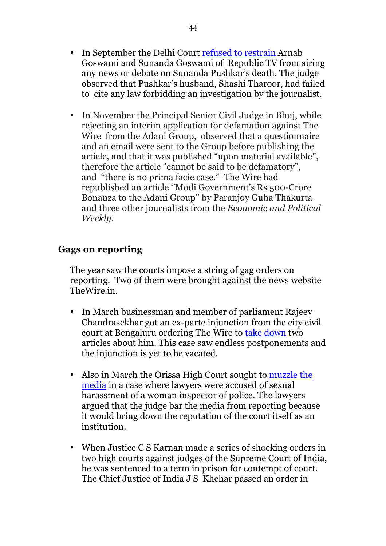- In September the Delhi Court refused to restrain Arnab Goswami and Sunanda Goswami of Republic TV from airing any news or debate on Sunanda Pushkar's death. The judge observed that Pushkar's husband, Shashi Tharoor, had failed to cite any law forbidding an investigation by the journalist.
- In November the Principal Senior Civil Judge in Bhuj, while rejecting an interim application for defamation against The Wire from the Adani Group, observed that a questionnaire and an email were sent to the Group before publishing the article, and that it was published "upon material available", therefore the article "cannot be said to be defamatory", and "there is no prima facie case." The Wire had republished an article ''Modi Government's Rs 500-Crore Bonanza to the Adani Group'' by Paranjoy Guha Thakurta and three other journalists from the *Economic and Political Weekly.*

#### **Gags on reporting**

The year saw the courts impose a string of gag orders on reporting. Two of them were brought against the news website TheWire.in.

- In March businessman and member of parliament Rajeev Chandrasekhar got an ex-parte injunction from the city civil court at Bengaluru ordering The Wire to take down two articles about him. This case saw endless postponements and the injunction is yet to be vacated.
- Also in March the Orissa High Court sought to muzzle the media in a case where lawyers were accused of sexual harassment of a woman inspector of police. The lawyers argued that the judge bar the media from reporting because it would bring down the reputation of the court itself as an institution.
- When Justice C S Karnan made a series of shocking orders in two high courts against judges of the Supreme Court of India, he was sentenced to a term in prison for contempt of court. The Chief Justice of India J S Khehar passed an order in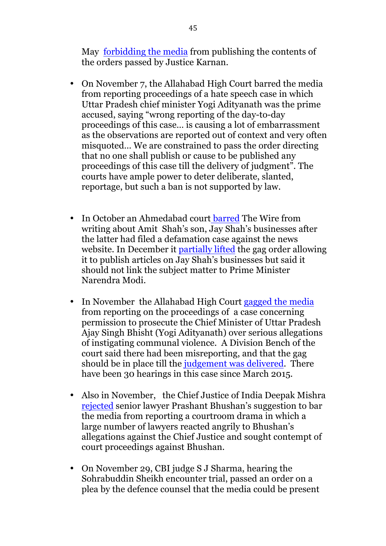May forbidding the media from publishing the contents of the orders passed by Justice Karnan.

- On November 7, the Allahabad High Court barred the media from reporting proceedings of a hate speech case in which Uttar Pradesh chief minister Yogi Adityanath was the prime accused, saying "wrong reporting of the day-to-day proceedings of this case… is causing a lot of embarrassment as the observations are reported out of context and very often misquoted… We are constrained to pass the order directing that no one shall publish or cause to be published any proceedings of this case till the delivery of judgment". The courts have ample power to deter deliberate, slanted, reportage, but such a ban is not supported by law.
- In October an Ahmedabad court barred The Wire from writing about Amit Shah's son, Jay Shah's businesses after the latter had filed a defamation case against the news website. In December it partially lifted the gag order allowing it to publish articles on Jay Shah's businesses but said it should not link the subject matter to Prime Minister Narendra Modi.
- In November the Allahabad High Court gagged the media from reporting on the proceedings of a case concerning permission to prosecute the Chief Minister of Uttar Pradesh Ajay Singh Bhisht (Yogi Adityanath) over serious allegations of instigating communal violence. A Division Bench of the court said there had been misreporting, and that the gag should be in place till the judgement was delivered. There have been 30 hearings in this case since March 2015.
- Also in November, the Chief Justice of India Deepak Mishra rejected senior lawyer Prashant Bhushan's suggestion to bar the media from reporting a courtroom drama in which a large number of lawyers reacted angrily to Bhushan's allegations against the Chief Justice and sought contempt of court proceedings against Bhushan.
- On November 29, CBI judge S J Sharma, hearing the Sohrabuddin Sheikh encounter trial, passed an order on a plea by the defence counsel that the media could be present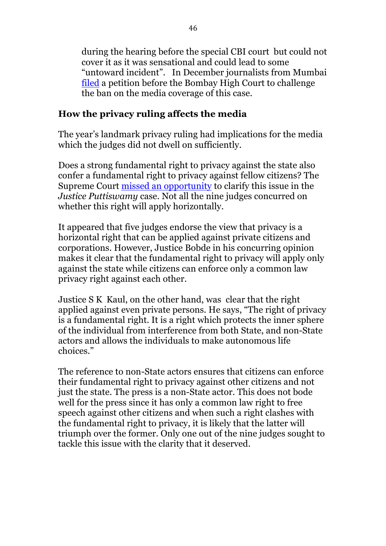during the hearing before the special CBI court but could not cover it as it was sensational and could lead to some "untoward incident". In December journalists from Mumbai filed a petition before the Bombay High Court to challenge the ban on the media coverage of this case.

### **How the privacy ruling affects the media**

The year's landmark privacy ruling had implications for the media which the judges did not dwell on sufficiently.

Does a strong fundamental right to privacy against the state also confer a fundamental right to privacy against fellow citizens? The Supreme Court missed an opportunity to clarify this issue in the *Justice Puttiswamy* case. Not all the nine judges concurred on whether this right will apply horizontally.

It appeared that five judges endorse the view that privacy is a horizontal right that can be applied against private citizens and corporations. However, Justice Bobde in his concurring opinion makes it clear that the fundamental right to privacy will apply only against the state while citizens can enforce only a common law privacy right against each other.

Justice S K Kaul, on the other hand, was clear that the right applied against even private persons. He says, "The right of privacy is a fundamental right. It is a right which protects the inner sphere of the individual from interference from both State, and non-State actors and allows the individuals to make autonomous life choices."

The reference to non-State actors ensures that citizens can enforce their fundamental right to privacy against other citizens and not just the state. The press is a non-State actor. This does not bode well for the press since it has only a common law right to free speech against other citizens and when such a right clashes with the fundamental right to privacy, it is likely that the latter will triumph over the former. Only one out of the nine judges sought to tackle this issue with the clarity that it deserved.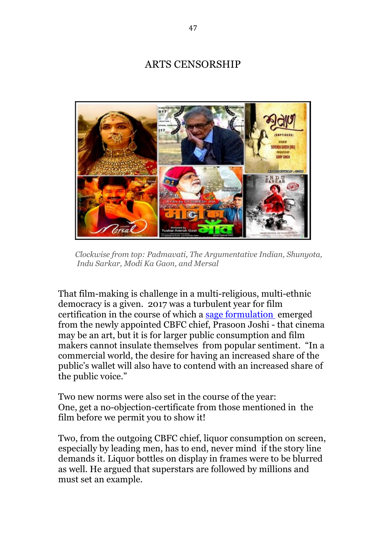### ARTS CENSORSHIP



 *Clockwise from top: Padmavati, The Argumentative Indian, Shunyota, Indu Sarkar, Modi Ka Gaon, and Mersal*

That film-making is challenge in a multi-religious, multi-ethnic democracy is a given. 2017 was a turbulent year for film certification in the course of which a sage formulation emerged from the newly appointed CBFC chief, Prasoon Joshi - that cinema may be an art, but it is for larger public consumption and film makers cannot insulate themselves from popular sentiment. "In a commercial world, the desire for having an increased share of the public's wallet will also have to contend with an increased share of the public voice."

Two new norms were also set in the course of the year: One, get a no-objection-certificate from those mentioned in the film before we permit you to show it!

Two, from the outgoing CBFC chief, liquor consumption on screen. especially by leading men, has to end, never mind if the story line demands it. Liquor bottles on display in frames were to be blurred as well. He argued that superstars are followed by millions and must set an example.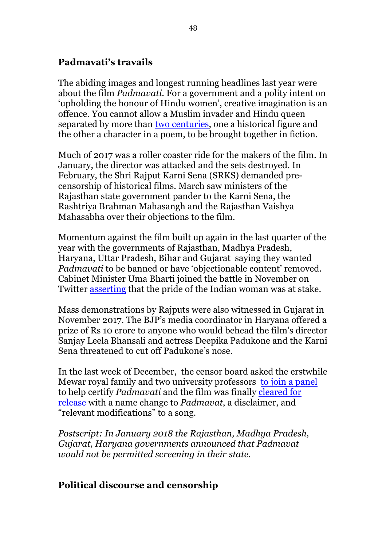#### **Padmavati's travails**

The abiding images and longest running headlines last year were about the film *Padmavati*. For a government and a polity intent on 'upholding the honour of Hindu women', creative imagination is an offence. You cannot allow a Muslim invader and Hindu queen separated by more than two centuries, one a historical figure and the other a character in a poem, to be brought together in fiction.

Much of 2017 was a roller coaster ride for the makers of the film. In January, the director was attacked and the sets destroyed. In February, the Shri Rajput Karni Sena (SRKS) demanded precensorship of historical films. March saw ministers of the Rajasthan state government pander to the Karni Sena, the Rashtriya Brahman Mahasangh and the Rajasthan Vaishya Mahasabha over their objections to the film.

Momentum against the film built up again in the last quarter of the year with the governments of Rajasthan, Madhya Pradesh, Haryana, Uttar Pradesh, Bihar and Gujarat saying they wanted *Padmavati* to be banned or have 'objectionable content' removed. Cabinet Minister Uma Bharti joined the battle in November on Twitter asserting that the pride of the Indian woman was at stake.

Mass demonstrations by Rajputs were also witnessed in Gujarat in November 2017. The BJP's media coordinator in Haryana offered a prize of Rs 10 crore to anyone who would behead the film's director Sanjay Leela Bhansali and actress Deepika Padukone and the Karni Sena threatened to cut off Padukone's nose.

In the last week of December, the censor board asked the erstwhile Mewar royal family and two university professors to join a panel to help certify *Padmavati* and the film was finally cleared for release with a name change to *Padmavat*, a disclaimer, and "relevant modifications" to a song.

*Postscript: In January 2018 the Rajasthan, Madhya Pradesh, Gujarat, Haryana governments announced that Padmavat would not be permitted screening in their state.*

### **Political discourse and censorship**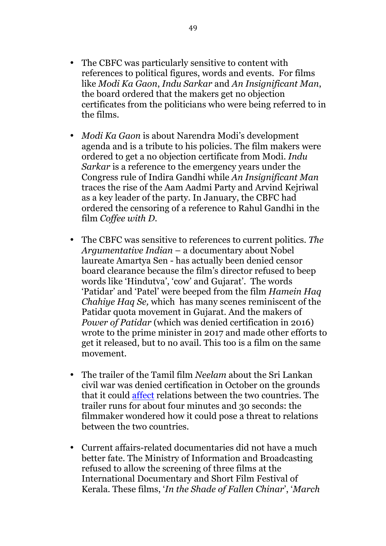- The CBFC was particularly sensitive to content with references to political figures, words and events. For films like *Modi Ka Gaon*, *Indu Sarkar* and *An Insignificant Man*, the board ordered that the makers get no objection certificates from the politicians who were being referred to in the films.
- *Modi Ka Gaon* is about Narendra Modi's development agenda and is a tribute to his policies. The film makers were ordered to get a no objection certificate from Modi. *Indu Sarkar* is a reference to the emergency years under the Congress rule of Indira Gandhi while *An Insignificant Man* traces the rise of the Aam Aadmi Party and Arvind Kejriwal as a key leader of the party. In January, the CBFC had ordered the censoring of a reference to Rahul Gandhi in the film *Coffee with D*.
- The CBFC was sensitive to references to current politics. *The Argumentative Indian* – a documentary about Nobel laureate Amartya Sen - has actually been denied censor board clearance because the film's director refused to beep words like 'Hindutva', 'cow' and Gujarat'. The words 'Patidar' and 'Patel' were beeped from the film *Hamein Haq Chahiye Haq Se,* which has many scenes reminiscent of the Patidar quota movement in Gujarat. And the makers of *Power of Patidar* (which was denied certification in 2016) wrote to the prime minister in 2017 and made other efforts to get it released, but to no avail. This too is a film on the same movement.
- The trailer of the Tamil film *Neelam* about the Sri Lankan civil war was denied certification in October on the grounds that it could affect relations between the two countries. The trailer runs for about four minutes and 30 seconds: the filmmaker wondered how it could pose a threat to relations between the two countries.
- Current affairs-related documentaries did not have a much better fate. The Ministry of Information and Broadcasting refused to allow the screening of three films at the International Documentary and Short Film Festival of Kerala. These films, '*In the Shade of Fallen Chinar*', '*March*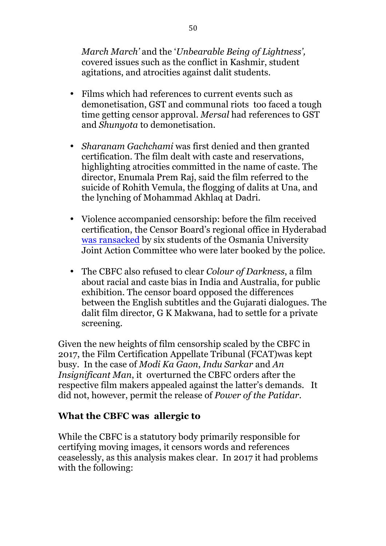*March March'* and the '*Unbearable Being of Lightness',* covered issues such as the conflict in Kashmir, student agitations, and atrocities against dalit students.

- Films which had references to current events such as demonetisation, GST and communal riots too faced a tough time getting censor approval. *Mersal* had references to GST and *Shunyota* to demonetisation.
- *Sharanam Gachchami* was first denied and then granted certification. The film dealt with caste and reservations, highlighting atrocities committed in the name of caste. The director, Enumala Prem Raj, said the film referred to the suicide of Rohith Vemula, the flogging of dalits at Una, and the lynching of Mohammad Akhlaq at Dadri.
- Violence accompanied censorship: before the film received certification, the Censor Board's regional office in Hyderabad was ransacked by six students of the Osmania University Joint Action Committee who were later booked by the police.
- The CBFC also refused to clear *Colour of Darkness*, a film about racial and caste bias in India and Australia, for public exhibition. The censor board opposed the differences between the English subtitles and the Gujarati dialogues. The dalit film director, G K Makwana, had to settle for a private screening.

Given the new heights of film censorship scaled by the CBFC in 2017, the Film Certification Appellate Tribunal (FCAT)was kept busy. In the case of *Modi Ka Gaon*, *Indu Sarkar* and *An Insignificant Man*, it overturned the CBFC orders after the respective film makers appealed against the latter's demands. It did not, however, permit the release of *Power of the Patidar*.

### **What the CBFC was allergic to**

While the CBFC is a statutory body primarily responsible for certifying moving images, it censors words and references ceaselessly, as this analysis makes clear. In 2017 it had problems with the following: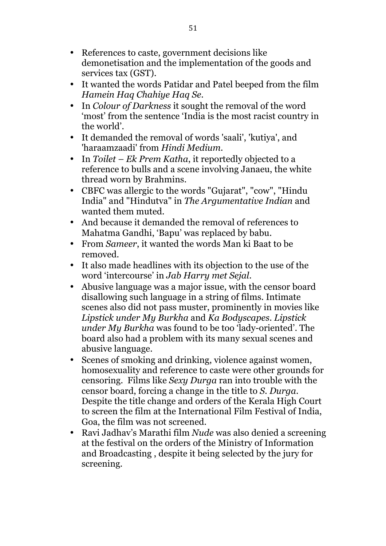- References to caste, government decisions like demonetisation and the implementation of the goods and services tax (GST).
- It wanted the words Patidar and Patel beeped from the film *Hamein Haq Chahiye Haq Se.*
- In *Colour of Darkness* it sought the removal of the word 'most' from the sentence 'India is the most racist country in the world'.
- It demanded the removal of words 'saali', 'kutiya', and 'haraamzaadi' from *Hindi Medium*.
- In *Toilet – Ek Prem Katha*, it reportedly objected to a reference to bulls and a scene involving Janaeu, the white thread worn by Brahmins.
- CBFC was allergic to the words "Gujarat", "cow", "Hindu India" and "Hindutva" in *The Argumentative Indian* and wanted them muted.
- And because it demanded the removal of references to Mahatma Gandhi, 'Bapu' was replaced by babu.
- From *Sameer*, it wanted the words Man ki Baat to be removed.
- It also made headlines with its objection to the use of the word 'intercourse' in *Jab Harry met Sejal*.
- Abusive language was a major issue, with the censor board disallowing such language in a string of films. Intimate scenes also did not pass muster, prominently in movies like *Lipstick under My Burkha* and *Ka Bodyscapes*. *Lipstick under My Burkha* was found to be too 'lady-oriented'. The board also had a problem with its many sexual scenes and abusive language.
- Scenes of smoking and drinking, violence against women, homosexuality and reference to caste were other grounds for censoring. Films like *Sexy Durga* ran into trouble with the censor board, forcing a change in the title to *S. Durga*. Despite the title change and orders of the Kerala High Court to screen the film at the International Film Festival of India, Goa, the film was not screened.
- Ravi Jadhav's Marathi film *Nude* was also denied a screening at the festival on the orders of the Ministry of Information and Broadcasting , despite it being selected by the jury for screening.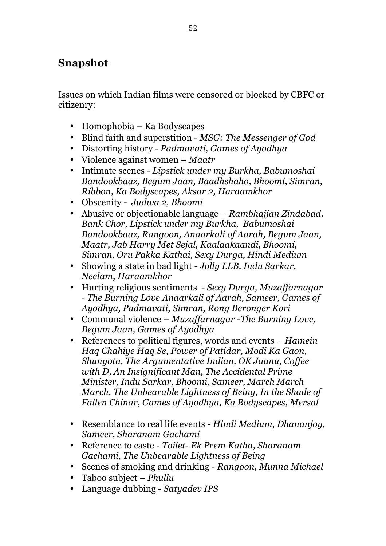## **Snapshot**

Issues on which Indian films were censored or blocked by CBFC or citizenry:

- Homophobia Ka Bodyscapes
- Blind faith and superstition *MSG: The Messenger of God*
- Distorting history *Padmavati, Games of Ayodhya*
- Violence against women *Maatr*
- Intimate scenes *Lipstick under my Burkha, Babumoshai Bandookbaaz, Begum Jaan, Baadhshaho, Bhoomi, Simran, Ribbon, Ka Bodyscapes, Aksar 2, Haraamkhor*
- Obscenity *Judwa 2, Bhoomi*
- Abusive or objectionable language *Rambhajjan Zindabad, Bank Chor, Lipstick under my Burkha, Babumoshai Bandookbaaz, Rangoon, Anaarkali of Aarah, Begum Jaan, Maatr, Jab Harry Met Sejal, Kaalaakaandi, Bhoomi, Simran, Oru Pakka Kathai, Sexy Durga, Hindi Medium*
- Showing a state in bad light *Jolly LLB, Indu Sarkar, Neelam, Haraamkhor*
- Hurting religious sentiments *Sexy Durga, Muzaffarnagar - The Burning Love Anaarkali of Aarah, Sameer, Games of Ayodhya, Padmavati, Simran, Rong Beronger Kori*
- Communal violence *Muzaffarnagar -The Burning Love, Begum Jaan, Games of Ayodhya*
- References to political figures, words and events *Hamein Haq Chahiye Haq Se, Power of Patidar, Modi Ka Gaon, Shunyota, The Argumentative Indian, OK Jaanu, Coffee with D, An Insignificant Man, The Accidental Prime Minister, Indu Sarkar, Bhoomi, Sameer, March March March, The Unbearable Lightness of Being, In the Shade of Fallen Chinar, Games of Ayodhya, Ka Bodyscapes, Mersal*
- Resemblance to real life events *- Hindi Medium, Dhananjoy, Sameer, Sharanam Gachami*
- Reference to caste *Toilet- Ek Prem Katha, Sharanam Gachami, The Unbearable Lightness of Being*
- Scenes of smoking and drinking *Rangoon, Munna Michael*
- Taboo subject *Phullu*
- Language dubbing *Satyadev IPS*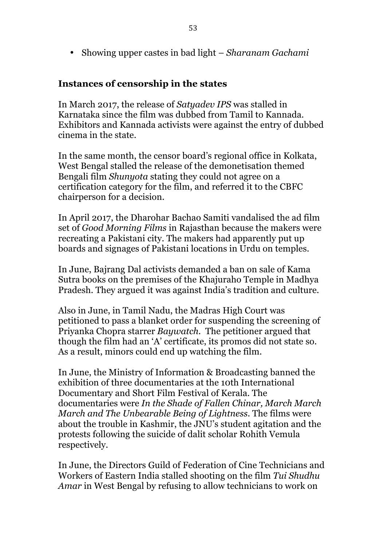• Showing upper castes in bad light – *Sharanam Gachami*

#### **Instances of censorship in the states**

In March 2017, the release of *Satyadev IPS* was stalled in Karnataka since the film was dubbed from Tamil to Kannada. Exhibitors and Kannada activists were against the entry of dubbed cinema in the state.

In the same month, the censor board's regional office in Kolkata, West Bengal stalled the release of the demonetisation themed Bengali film *Shunyota* stating they could not agree on a certification category for the film, and referred it to the CBFC chairperson for a decision.

In April 2017, the Dharohar Bachao Samiti vandalised the ad film set of *Good Morning Films* in Rajasthan because the makers were recreating a Pakistani city. The makers had apparently put up boards and signages of Pakistani locations in Urdu on temples.

In June, Bajrang Dal activists demanded a ban on sale of Kama Sutra books on the premises of the Khajuraho Temple in Madhya Pradesh. They argued it was against India's tradition and culture.

Also in June, in Tamil Nadu, the Madras High Court was petitioned to pass a blanket order for suspending the screening of Priyanka Chopra starrer *Baywatch.* The petitioner argued that though the film had an 'A' certificate, its promos did not state so. As a result, minors could end up watching the film.

In June, the Ministry of Information & Broadcasting banned the exhibition of three documentaries at the 10th International Documentary and Short Film Festival of Kerala. The documentaries were *In the Shade of Fallen Chinar, March March March and The Unbearable Being of Lightness*. The films were about the trouble in Kashmir, the JNU's student agitation and the protests following the suicide of dalit scholar Rohith Vemula respectively.

In June, the Directors Guild of Federation of Cine Technicians and Workers of Eastern India stalled shooting on the film *Tui Shudhu Amar* in West Bengal by refusing to allow technicians to work on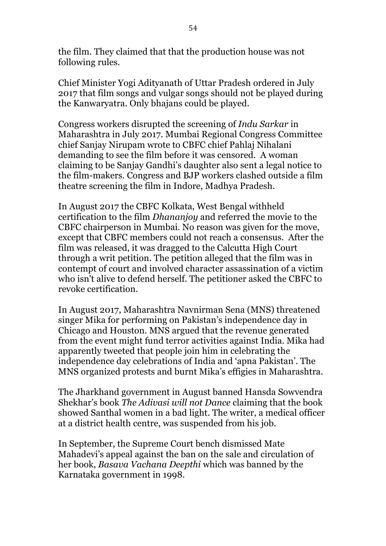the film. They claimed that that the production house was not following rules.

Chief Minister Yogi Adityanath of Uttar Pradesh ordered in July 2017 that film songs and vulgar songs should not be played during the Kanwaryatra. Only bhajans could be played.

Congress workers disrupted the screening of *Indu Sarkar* in Maharashtra in July 2017. Mumbai Regional Congress Committee chief Sanjay Nirupam wrote to CBFC chief Pahlaj Nihalani demanding to see the film before it was censored. A woman claiming to be Sanjay Gandhi's daughter also sent a legal notice to the film-makers. Congress and BJP workers clashed outside a film theatre screening the film in Indore, Madhya Pradesh.

In August 2017 the CBFC Kolkata, West Bengal withheld certification to the film *Dhananjoy* and referred the movie to the CBFC chairperson in Mumbai. No reason was given for the move, except that CBFC members could not reach a consensus. After the film was released, it was dragged to the Calcutta High Court through a writ petition. The petition alleged that the film was in contempt of court and involved character assassination of a victim who isn't alive to defend herself. The petitioner asked the CBFC to revoke certification.

In August 2017, Maharashtra Navnirman Sena (MNS) threatened singer Mika for performing on Pakistan's independence day in Chicago and Houston. MNS argued that the revenue generated from the event might fund terror activities against India. Mika had apparently tweeted that people join him in celebrating the independence day celebrations of India and 'apna Pakistan'. The MNS organized protests and burnt Mika's effigies in Maharashtra.

The Jharkhand government in August banned Hansda Sowvendra Shekhar's book *The Adivasi will not Dance* claiming that the book showed Santhal women in a bad light. The writer, a medical officer at a district health centre, was suspended from his job.

In September, the Supreme Court bench dismissed Mate Mahadevi's appeal against the ban on the sale and circulation of her book, *Basava Vachana Deepthi* which was banned by the Karnataka government in 1998.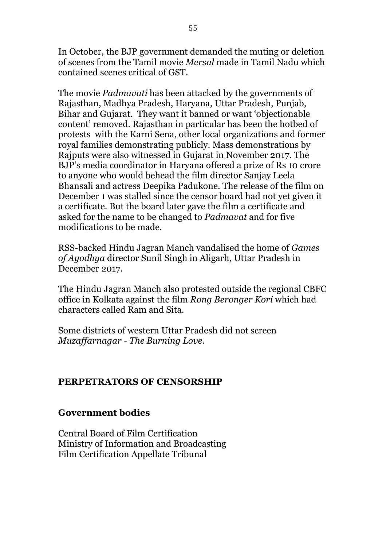In October, the BJP government demanded the muting or deletion of scenes from the Tamil movie *Mersal* made in Tamil Nadu which contained scenes critical of GST.

The movie *Padmavati* has been attacked by the governments of Rajasthan, Madhya Pradesh, Haryana, Uttar Pradesh, Punjab, Bihar and Gujarat. They want it banned or want 'objectionable content' removed. Rajasthan in particular has been the hotbed of protests with the Karni Sena, other local organizations and former royal families demonstrating publicly. Mass demonstrations by Rajputs were also witnessed in Gujarat in November 2017. The BJP's media coordinator in Haryana offered a prize of Rs 10 crore to anyone who would behead the film director Sanjay Leela Bhansali and actress Deepika Padukone. The release of the film on December 1 was stalled since the censor board had not yet given it a certificate. But the board later gave the film a certificate and asked for the name to be changed to *Padmavat* and for five modifications to be made*.* 

RSS-backed Hindu Jagran Manch vandalised the home of *Games of Ayodhya* director Sunil Singh in Aligarh, Uttar Pradesh in December 2017.

The Hindu Jagran Manch also protested outside the regional CBFC office in Kolkata against the film *Rong Beronger Kori* which had characters called Ram and Sita.

Some districts of western Uttar Pradesh did not screen *Muzaffarnagar - The Burning Love.*

#### **PERPETRATORS OF CENSORSHIP**

#### **Government bodies**

Central Board of Film Certification Ministry of Information and Broadcasting Film Certification Appellate Tribunal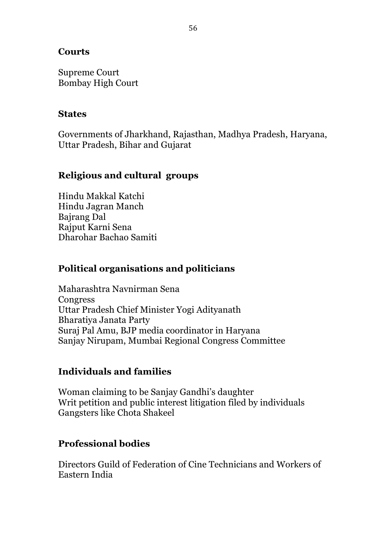#### **Courts**

Supreme Court Bombay High Court

#### **States**

Governments of Jharkhand, Rajasthan, Madhya Pradesh, Haryana, Uttar Pradesh, Bihar and Gujarat

### **Religious and cultural groups**

Hindu Makkal Katchi Hindu Jagran Manch Bajrang Dal Rajput Karni Sena Dharohar Bachao Samiti

### **Political organisations and politicians**

Maharashtra Navnirman Sena **Congress** Uttar Pradesh Chief Minister Yogi Adityanath Bharatiya Janata Party Suraj Pal Amu, BJP media coordinator in Haryana Sanjay Nirupam, Mumbai Regional Congress Committee

#### **Individuals and families**

Woman claiming to be Sanjay Gandhi's daughter Writ petition and public interest litigation filed by individuals Gangsters like Chota Shakeel

### **Professional bodies**

Directors Guild of Federation of Cine Technicians and Workers of Eastern India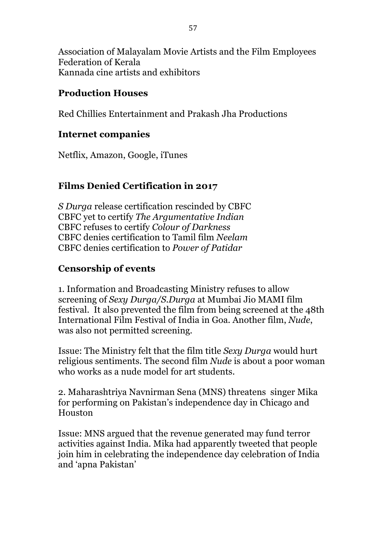Association of Malayalam Movie Artists and the Film Employees Federation of Kerala Kannada cine artists and exhibitors

#### **Production Houses**

Red Chillies Entertainment and Prakash Jha Productions

### **Internet companies**

Netflix, Amazon, Google, iTunes

### **Films Denied Certification in 2017**

*S Durga* release certification rescinded by CBFC CBFC yet to certify *The Argumentative Indian* CBFC refuses to certify *Colour of Darkness* CBFC denies certification to Tamil film *Neelam* CBFC denies certification to *Power of Patidar*

### **Censorship of events**

1. Information and Broadcasting Ministry refuses to allow screening of *Sexy Durga/S.Durga* at Mumbai Jio MAMI film festival. It also prevented the film from being screened at the 48th International Film Festival of India in Goa. Another film, *Nude*, was also not permitted screening.

Issue: The Ministry felt that the film title *Sexy Durga* would hurt religious sentiments. The second film *Nude* is about a poor woman who works as a nude model for art students.

2. Maharashtriya Navnirman Sena (MNS) threatens singer Mika for performing on Pakistan's independence day in Chicago and Houston

Issue: MNS argued that the revenue generated may fund terror activities against India. Mika had apparently tweeted that people join him in celebrating the independence day celebration of India and 'apna Pakistan'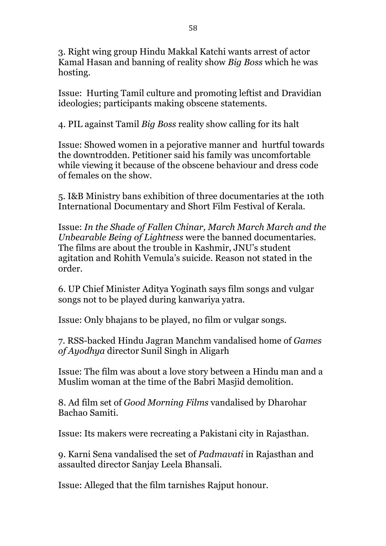3. Right wing group Hindu Makkal Katchi wants arrest of actor Kamal Hasan and banning of reality show *Big Boss* which he was hosting.

Issue: Hurting Tamil culture and promoting leftist and Dravidian ideologies; participants making obscene statements.

4. PIL against Tamil *Big Boss* reality show calling for its halt

Issue: Showed women in a pejorative manner and hurtful towards the downtrodden. Petitioner said his family was uncomfortable while viewing it because of the obscene behaviour and dress code of females on the show.

5. I&B Ministry bans exhibition of three documentaries at the 10th International Documentary and Short Film Festival of Kerala.

Issue: *In the Shade of Fallen Chinar, March March March and the Unbearable Being of Lightness* were the banned documentaries. The films are about the trouble in Kashmir, JNU's student agitation and Rohith Vemula's suicide. Reason not stated in the order.

6. UP Chief Minister Aditya Yoginath says film songs and vulgar songs not to be played during kanwariya yatra.

Issue: Only bhajans to be played, no film or vulgar songs.

7. RSS-backed Hindu Jagran Manchm vandalised home of *Games of Ayodhya* director Sunil Singh in Aligarh

Issue: The film was about a love story between a Hindu man and a Muslim woman at the time of the Babri Masjid demolition.

8. Ad film set of *Good Morning Films* vandalised by Dharohar Bachao Samiti.

Issue: Its makers were recreating a Pakistani city in Rajasthan.

9. Karni Sena vandalised the set of *Padmavati* in Rajasthan and assaulted director Sanjay Leela Bhansali.

Issue: Alleged that the film tarnishes Rajput honour.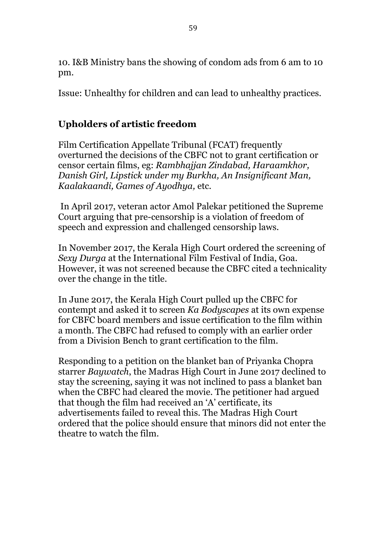10. I&B Ministry bans the showing of condom ads from 6 am to 10 pm.

Issue: Unhealthy for children and can lead to unhealthy practices.

### **Upholders of artistic freedom**

Film Certification Appellate Tribunal (FCAT) frequently overturned the decisions of the CBFC not to grant certification or censor certain films, eg: *Rambhajjan Zindabad, Haraamkhor, Danish Girl, Lipstick under my Burkha, An Insignificant Man, Kaalakaandi, Games of Ayodhya,* etc.

In April 2017, veteran actor Amol Palekar petitioned the Supreme Court arguing that pre-censorship is a violation of freedom of speech and expression and challenged censorship laws.

In November 2017, the Kerala High Court ordered the screening of *Sexy Durga* at the International Film Festival of India, Goa. However, it was not screened because the CBFC cited a technicality over the change in the title.

In June 2017, the Kerala High Court pulled up the CBFC for contempt and asked it to screen *Ka Bodyscapes* at its own expense for CBFC board members and issue certification to the film within a month. The CBFC had refused to comply with an earlier order from a Division Bench to grant certification to the film.

Responding to a petition on the blanket ban of Priyanka Chopra starrer *Baywatch*, the Madras High Court in June 2017 declined to stay the screening, saying it was not inclined to pass a blanket ban when the CBFC had cleared the movie. The petitioner had argued that though the film had received an 'A' certificate, its advertisements failed to reveal this. The Madras High Court ordered that the police should ensure that minors did not enter the theatre to watch the film.